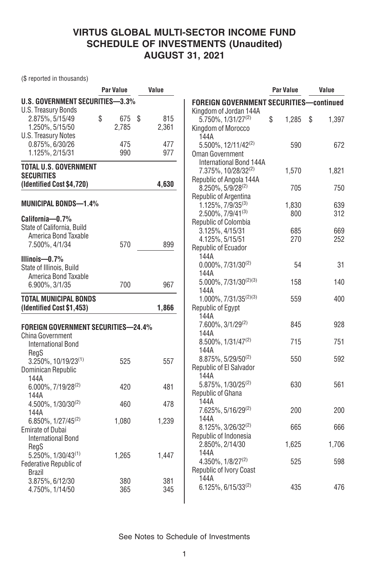(\$ reported in thousands)

|                                                   | Par Value | Value    |                                                | Par Value   | Value       |
|---------------------------------------------------|-----------|----------|------------------------------------------------|-------------|-------------|
| <b>U.S. GOVERNMENT SECURITIES-3.3%</b>            |           |          | <b>FOREIGN GOVERNMENT SECURITIES-continued</b> |             |             |
| U.S. Treasury Bonds                               |           |          | Kingdom of Jordan 144A                         |             |             |
| 2.875%, 5/15/49                                   | \$<br>675 | S<br>815 | $5.750\%$ , $1/31/27^{(2)}$                    | \$<br>1.285 | \$<br>1,397 |
| 1.250%, 5/15/50                                   | 2,785     | 2,361    | Kingdom of Morocco                             |             |             |
| U.S. Treasury Notes                               |           |          | 144A                                           |             |             |
| 0.875%, 6/30/26                                   | 475       | 477      | 5.500%, 12/11/42(2)                            | 590         | 672         |
| 1.125%, 2/15/31                                   | 990       | 977      | Oman Government                                |             |             |
|                                                   |           |          | International Bond 144A                        |             |             |
| <b>TOTAL U.S. GOVERNMENT</b><br><b>SECURITIES</b> |           |          | 7.375%, 10/28/32 <sup>(2)</sup>                | 1,570       | 1,821       |
|                                                   |           | 4,630    | Republic of Angola 144A                        |             |             |
| (Identified Cost \$4,720)                         |           |          | 8.250%, 5/9/28(2)                              | 705         | 750         |
|                                                   |           |          | Republic of Argentina                          |             |             |
| <b>MUNICIPAL BONDS-1.4%</b>                       |           |          | 1.125%, 7/9/35(3)                              | 1.830       | 639         |
| California-0.7%                                   |           |          | 2.500%, 7/9/41(3)                              | 800         | 312         |
| State of California, Build                        |           |          | Republic of Colombia                           |             |             |
| America Bond Taxable                              |           |          | 3.125%, 4/15/31                                | 685         | 669         |
| 7.500%, 4/1/34                                    | 570       | 899      | 4.125%, 5/15/51                                | 270         | 252         |
|                                                   |           |          | Republic of Ecuador                            |             |             |
| Illinois-0.7%                                     |           |          | 144A                                           |             |             |
| State of Illinois, Build                          |           |          | $0.000\%$ , 7/31/30 <sup>(2)</sup>             | 54          | 31          |
| America Bond Taxable                              |           |          | 144A                                           |             |             |
| 6.900%, 3/1/35                                    | 700       | 967      | $5.000\%$ , $7/31/30^{(2)(3)}$                 | 158         | 140         |
|                                                   |           |          | 144A                                           |             |             |
| <b>TOTAL MUNICIPAL BONDS</b>                      |           |          | $1.000\%, 7/31/35^{(2)(3)}$                    | 559         | 400         |
| (Identified Cost \$1,453)                         |           | 1,866    | Republic of Egypt<br>144A                      |             |             |
|                                                   |           |          | 7.600%, 3/1/29(2)                              | 845         | 928         |
| <b>FOREIGN GOVERNMENT SECURITIES-24.4%</b>        |           |          | 144A                                           |             |             |
| China Government                                  |           |          | 8.500%, 1/31/47 <sup>(2)</sup>                 | 715         | 751         |
| <b>International Bond</b>                         |           |          | 144A                                           |             |             |
| RegS                                              |           |          | 8.875%, 5/29/50 <sup>(2)</sup>                 | 550         | 592         |
| $3.250\%$ , 10/19/23 <sup>(1)</sup>               | 525       | 557      | Republic of El Salvador                        |             |             |
| Dominican Republic                                |           |          | 144A                                           |             |             |
| 144A                                              |           |          | $5.875\%$ , $1/30/25^{(2)}$                    | 630         | 561         |
| 6.000%, 7/19/28 <sup>(2)</sup>                    | 420       | 481      | Republic of Ghana                              |             |             |
| 144A<br>4.500%, 1/30/30 <sup>(2)</sup>            | 460       | 478      | 144A                                           |             |             |
| 144A                                              |           |          | 7.625%, 5/16/29(2)                             | 200         | 200         |
| 6.850%, 1/27/45 <sup>(2)</sup>                    | 1,080     | 1,239    | 144A                                           |             |             |
| <b>Emirate of Dubai</b>                           |           |          | 8.125%, 3/26/32(2)                             | 665         | 666         |
| <b>International Bond</b>                         |           |          | Republic of Indonesia                          |             |             |
| RegS                                              |           |          | 2.850%, 2/14/30                                | 1,625       | 1,706       |
| $5.250\%$ , $1/30/43^{(1)}$                       | 1,265     | 1,447    | 144A                                           |             |             |
| Federative Republic of                            |           |          | $4.350\%$ , $1/8/27^{(2)}$                     | 525         | 598         |
| <b>Brazil</b>                                     |           |          | <b>Republic of Ivory Coast</b>                 |             |             |
| 3.875%, 6/12/30                                   | 380       | 381      | 144A                                           |             |             |
| 4.750%, 1/14/50                                   | 365       | 345      | $6.125\%, 6/15/33^{(2)}$                       | 435         | 476         |
|                                                   |           |          |                                                |             |             |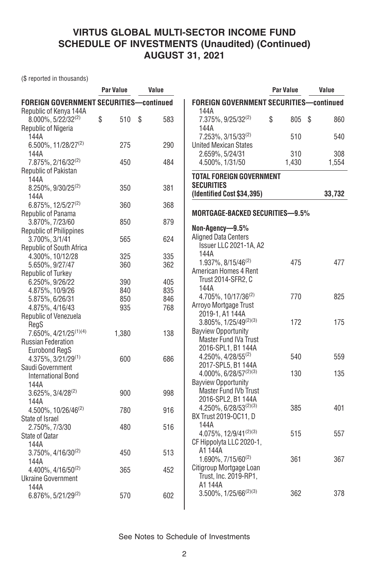(\$ reported in thousands)

|                                                | <b>Par Value</b> | Value     |                                                | Par Value    | Value  |
|------------------------------------------------|------------------|-----------|------------------------------------------------|--------------|--------|
| <b>FOREIGN GOVERNMENT SECURITIES-continued</b> |                  |           | <b>FOREIGN GOVERNMENT SECURITIES-continued</b> |              |        |
| Republic of Kenya 144A                         |                  |           | 144A                                           |              |        |
| $8.000\%$ , 5/22/32 <sup>(2)</sup>             | \$<br>510        | \$<br>583 | 7.375%, 9/25/32 <sup>(2)</sup>                 | \$<br>805 \$ | 860    |
| Republic of Nigeria                            |                  |           | 144A                                           |              |        |
| 144A                                           |                  |           | 7.253%, 3/15/33(2)                             | 510          | 540    |
| 6.500%, 11/28/27 <sup>(2)</sup>                | 275              | 290       | <b>United Mexican States</b>                   |              |        |
| 144A                                           |                  |           | 2.659%, 5/24/31                                | 310          | 308    |
| 7.875%, 2/16/32(2)                             | 450              | 484       | 4.500%, 1/31/50                                | 1,430        | 1,554  |
| Republic of Pakistan                           |                  |           |                                                |              |        |
| 144A                                           |                  |           | <b>TOTAL FOREIGN GOVERNMENT</b>                |              |        |
| 8.250%, 9/30/25(2)                             | 350              | 381       | <b>SECURITIES</b>                              |              |        |
| 144A                                           |                  |           | (Identified Cost \$34,395)                     |              | 33,732 |
| 6.875%, 12/5/27 <sup>(2)</sup>                 | 360              | 368       |                                                |              |        |
| Republic of Panama                             |                  |           | MORTGAGE-BACKED SECURITIES-9.5%                |              |        |
| 3.870%, 7/23/60                                | 850              | 879       |                                                |              |        |
| <b>Republic of Philippines</b>                 |                  |           | Non-Agency-9.5%                                |              |        |
| 3.700%, 3/1/41                                 | 565              | 624       | <b>Aligned Data Centers</b>                    |              |        |
| Republic of South Africa                       |                  |           | <b>Issuer LLC 2021-1A, A2</b>                  |              |        |
| 4.300%, 10/12/28                               | 325              | 335       | 144A                                           |              |        |
| 5.650%, 9/27/47                                | 360              | 362       | 1.937%, 8/15/46 <sup>(2)</sup>                 | 475          | 477    |
| Republic of Turkey                             |                  |           | American Homes 4 Rent                          |              |        |
| 6.250%, 9/26/22                                | 390              | 405       | Trust 2014-SFR2, C                             |              |        |
| 4.875%, 10/9/26                                | 840              | 835       | 144A                                           |              |        |
| 5.875%, 6/26/31                                | 850              | 846       | 4.705%, 10/17/36 <sup>(2)</sup>                | 770          | 825    |
| 4.875%, 4/16/43                                | 935              | 768       | Arroyo Mortgage Trust                          |              |        |
| Republic of Venezuela                          |                  |           | 2019-1, A1 144A                                |              |        |
| RegS                                           |                  |           | $3.805\%, 1/25/49^{(2)(3)}$                    | 172          | 175    |
| 7.650%, 4/21/25 <sup>(1)(4)</sup>              | 1,380            | 138       | <b>Bayview Opportunity</b>                     |              |        |
| <b>Russian Federation</b>                      |                  |           | Master Fund IVa Trust                          |              |        |
| <b>Eurobond RegS</b>                           |                  |           | 2016-SPL1, B1 144A                             |              |        |
| $4.375\%, 3/21/29^{(1)}$                       | 600              | 686       | 4.250%, 4/28/55 <sup>(2)</sup>                 | 540          | 559    |
| Saudi Government                               |                  |           | 2017-SPL5, B1 144A                             |              |        |
| <b>International Bond</b>                      |                  |           | $4.000\%$ , 6/28/57 <sup>(2)(3)</sup>          | 130          | 135    |
| 144A                                           |                  |           | <b>Bayview Opportunity</b>                     |              |        |
| 3.625%, 3/4/28 <sup>(2)</sup>                  | 900              | 998       | Master Fund IVb Trust                          |              |        |
| 144A                                           |                  |           | 2016-SPL2, B1 144A                             |              |        |
| 4.500%, 10/26/46 <sup>(2)</sup>                | 780              | 916       | 4.250%, 6/28/53(2)(3)                          | 385          | 401    |
| State of Israel                                |                  |           | BX Trust 2019-OC11, D                          |              |        |
| 2.750%, 7/3/30                                 | 480              | 516       | 144A                                           |              |        |
| State of Qatar                                 |                  |           | 4.075%, 12/9/41 <sup>(2)(3)</sup>              | 515          | 557    |
| 144A                                           |                  |           | CF Hippolyta LLC 2020-1,                       |              |        |
| $3.750\%$ , 4/16/30 <sup>(2)</sup>             | 450              | 513       | A1 144A                                        |              |        |
| 144A                                           |                  |           | 1.690%, 7/15/60(2)                             | 361          | 367    |
| 4.400%, 4/16/50 <sup>(2)</sup>                 | 365              | 452       | Citigroup Mortgage Loan                        |              |        |
| <b>Ukraine Government</b>                      |                  |           | Trust, Inc. 2019-RP1,                          |              |        |
| 144A                                           |                  |           | A1 144A                                        |              |        |
| $6.876\%, 5/21/29^{(2)}$                       | 570              | 602       | $3.500\%$ , $1/25/66^{(2)(3)}$                 | 362          | 378    |
|                                                |                  |           |                                                |              |        |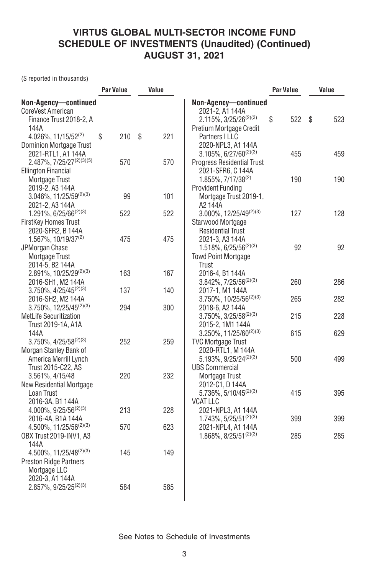|                                                                                                        | Par Value  | Value      |                                                                                          | Par Value | Value     |
|--------------------------------------------------------------------------------------------------------|------------|------------|------------------------------------------------------------------------------------------|-----------|-----------|
| Non-Agency-continued<br>CoreVest American                                                              |            |            | Non-Agency-continued<br>2021-2, A1 144A                                                  |           |           |
| Finance Trust 2018-2, A<br>144A<br>$4.026\%$ , 11/15/52 <sup>(2)</sup>                                 | \$<br>210  | \$<br>221  | $2.115\%, 3/25/26^{(2)(3)}$<br>Pretium Mortgage Credit<br>Partners I LLC                 | \$<br>522 | \$<br>523 |
| Dominion Mortgage Trust<br>2021-RTL1, A1 144A                                                          |            |            | 2020-NPL3, A1 144A<br>$3.105\%$ , 6/27/60 <sup>(2)(3)</sup>                              | 455       | 459       |
| 2.487%, 7/25/27 <sup>(2)(3)(5)</sup><br><b>Ellington Financial</b><br>Mortgage Trust                   | 570        | 570        | <b>Progress Residential Trust</b><br>2021-SFR6, C 144A<br>1.855%, 7/17/38 <sup>(2)</sup> | 190       | 190       |
| 2019-2, A3 144A<br>$3.046\%$ , 11/25/59 <sup>(2)(3)</sup>                                              | 99         | 101        | <b>Provident Funding</b><br>Mortgage Trust 2019-1.                                       |           |           |
| 2021-2, A3 144A<br>$1.291\%, 6/25/66^{(2)(3)}$                                                         | 522        | 522        | A2144A<br>$3.000\%$ , $12/25/49^{(2)(3)}$                                                | 127       | 128       |
| <b>FirstKey Homes Trust</b><br>2020-SFR2, B 144A<br>$1.567\%$ , 10/19/37 <sup>(2)</sup>                | 475        | 475        | Starwood Mortgage<br><b>Residential Trust</b><br>2021-3, A3 144A                         |           |           |
| JPMorgan Chase<br>Mortgage Trust<br>2014-5, B2 144A                                                    |            |            | $1.518\%, 6/25/56^{(2)(3)}$<br><b>Towd Point Mortgage</b><br>Trust                       | 92        | 92        |
| 2.891%, 10/25/29(2)(3)<br>2016-SH1, M2 144A                                                            | 163        | 167        | 2016-4, B1 144A<br>$3.842\%, 7/25/56^{(2)(3)}$                                           | 260       | 286       |
| $3.750\%, 4/25/45^{(2)(3)}$<br>2016-SH2, M2 144A<br>$3.750\%$ , $12/25/45^{(2)(3)}$                    | 137<br>294 | 140<br>300 | 2017-1, M1 144A<br>3.750%, 10/25/56 <sup>(2)(3)</sup><br>2018-6, A2 144A                 | 265       | 282       |
| <b>MetLife Securitization</b><br>Trust 2019-1A, A1A                                                    |            |            | $3.750\%, 3/25/58^{(2)(3)}$<br>2015-2, 1M1 144A                                          | 215       | 228       |
| 144A<br>$3.750\%, 4/25/58^{(2)(3)}$                                                                    | 252        | 259        | $3.250\%, 11/25/60^{(2)(3)}$<br><b>TVC Mortgage Trust</b>                                | 615       | 629       |
| Morgan Stanley Bank of<br>America Merrill Lynch<br>Trust 2015-C22, AS                                  |            |            | 2020-RTL1, M 144A<br>5.193%, 9/25/24 <sup>(2)(3)</sup><br><b>UBS Commercial</b>          | 500       | 499       |
| 3.561%, 4/15/48<br>New Residential Mortgage<br>Loan Trust                                              | 220        | 232        | <b>Mortgage Trust</b><br>2012-C1, D 144A<br>5.736%, 5/10/45 <sup>(2)(3)</sup>            | 415       | 395       |
| 2016-3A, B1 144A<br>$4.000\%$ , $9/25/56^{(2)(3)}$                                                     | 213        | 228        | VCAT LLC<br>2021-NPL3, A1 144A                                                           |           |           |
| 2016-4A, B1A 144A<br>4.500%, 11/25/56 <sup>(2)(3)</sup>                                                | 570        | 623        | $1.743\%$ , 5/25/51 <sup>(2)(3)</sup><br>2021-NPL4, A1 144A                              | 399       | 399       |
| OBX Trust 2019-INV1, A3<br>144A                                                                        |            |            | $1.868\%, 8/25/51^{(2)(3)}$                                                              | 285       | 285       |
| 4.500%, 11/25/48 <sup>(2)(3)</sup><br><b>Preston Ridge Partners</b><br>Mortgage LLC<br>2020-3, A1 144A | 145        | 149        |                                                                                          |           |           |
| 2.857%, 9/25/25(2)(3)                                                                                  | 584        | 585        |                                                                                          |           |           |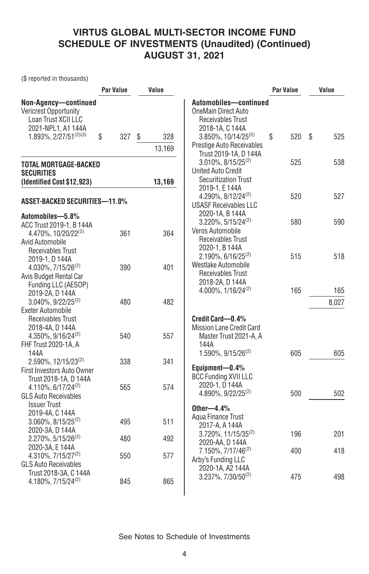(\$ reported in thousands)

|                                                                                                                           | Par Value  | Value               |                                                                                                                                                                                          | Par Value | Value        |
|---------------------------------------------------------------------------------------------------------------------------|------------|---------------------|------------------------------------------------------------------------------------------------------------------------------------------------------------------------------------------|-----------|--------------|
| Non-Agency-continued<br>Vericrest Opportunity<br>Loan Trust XCII LLC<br>2021-NPL1, A1 144A<br>$1.893\%, 2/27/51^{(2)(3)}$ | \$<br>327  | \$<br>328<br>13,169 | Automobiles-continued<br><b>OneMain Direct Auto</b><br>Receivables Trust<br>2018-1A, C 144A<br>$3.850\%$ , 10/14/25 <sup>(2)</sup><br>Prestige Auto Receivables<br>Trust 2019-1A, D 144A | \$<br>520 | Ŝ.<br>525    |
| TOTAL MORTGAGE-BACKED<br><b>SECURITIES</b><br>(Identified Cost \$12,923)                                                  |            | 13,169              | $3.010\%$ , $8/15/25^{(2)}$<br><b>United Auto Credit</b><br><b>Securitization Trust</b><br>2019-1, E144A                                                                                 | 525       | 538          |
| <b>ASSET-BACKED SECURITIES-11.0%</b>                                                                                      |            |                     | $4.290\%$ , $8/12/24^{(2)}$<br><b>USASF Receivables LLC</b><br>2020-1A, B 144A                                                                                                           | 520       | 527          |
| Automobiles-5.8%<br>ACC Trust 2019-1, B 144A<br>4.470%, 10/20/22 <sup>(2)</sup>                                           | 361        | 364                 | $3.220\%$ , 5/15/24 <sup>(2)</sup><br>Veros Automobile<br>Receivables Trust                                                                                                              | 580       | 590          |
| Avid Automobile<br>Receivables Trust<br>2019-1, D 144A<br>4.030%, 7/15/26 <sup>(2)</sup>                                  | 390        | 401                 | 2020-1, B 144A<br>$2.190\%$ , 6/16/25 <sup>(2)</sup><br>Westlake Automobile                                                                                                              | 515       | 518          |
| Avis Budget Rental Car<br>Funding LLC (AESOP)<br>2019-2A, D 144A<br>3.040%, 9/22/25 <sup>(2)</sup>                        | 480        | 482                 | Receivables Trust<br>2018-2A, D 144A<br>4.000%, 1/16/24 <sup>(2)</sup>                                                                                                                   | 165       | 165<br>8,027 |
| <b>Exeter Automobile</b><br>Receivables Trust<br>2018-4A, D 144A                                                          |            |                     | Credit Card-0.4%<br><b>Mission Lane Credit Card</b>                                                                                                                                      |           |              |
| 4.350%, 9/16/24 <sup>(2)</sup><br>FHF Trust 2020-1A, A<br>144A                                                            | 540        | 557                 | Master Trust 2021-A, A<br>144A<br>1.590%, 9/15/26 <sup>(2)</sup>                                                                                                                         | 605       | 605          |
| 2.590%, 12/15/23(2)<br>First Investors Auto Owner<br>Trust 2018-1A, D 144A                                                | 338        | 341                 | Equipment-0.4%<br><b>BCC Funding XVII LLC</b><br>2020-1, D 144A                                                                                                                          |           |              |
| $4.110\%$ , 6/17/24 <sup>(2)</sup><br><b>GLS Auto Receivables</b><br><b>Issuer Trust</b>                                  | 565        | 574                 | 4.890%, 9/22/25 <sup>(2)</sup><br>Other $-4.4%$                                                                                                                                          | 500       | 502          |
| 2019-4A, C 144A<br>$3.060\%$ , $8/15/25^{(2)}$<br>2020-3A. D 144A                                                         | 495        | 511                 | Agua Finance Trust<br>2017-A, A 144A<br>$3.720\%$ , 11/15/35 <sup>(2)</sup>                                                                                                              | 196       | 201          |
| 2.270%, 5/15/26(2)<br>2020-3A, E 144A<br>4.310%, 7/15/27 <sup>(2)</sup>                                                   | 480<br>550 | 492<br>577          | 2020-AA, D 144A<br>7.150%, 7/17/46 <sup>(2)</sup><br>Arby's Funding LLC                                                                                                                  | 400       | 418          |
| <b>GLS Auto Receivables</b><br>Trust 2018-3A, C 144A<br>4.180%, 7/15/24(2)                                                | 845        | 865                 | 2020-1A, A2 144A<br>3.237%, 7/30/50 <sup>(2)</sup>                                                                                                                                       | 475       | 498          |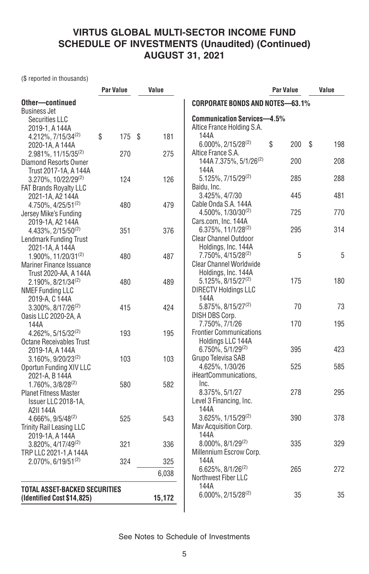|                                        | Par Value  | Value  |                                    | Par Value | Value     |
|----------------------------------------|------------|--------|------------------------------------|-----------|-----------|
| Other-continued<br><b>Business Jet</b> |            |        | CORPORATE BONDS AND NOTES—63.1%    |           |           |
| Securities LLC                         |            |        | <b>Communication Services-4.5%</b> |           |           |
| 2019-1, A 144A                         |            |        | Altice France Holding S.A.         |           |           |
| 4.212%, 7/15/34 <sup>(2)</sup>         | \$<br>175S | 181    | 144A                               |           |           |
| 2020-1A, A 144A                        |            |        | 6.000%, 2/15/28(2)                 | \$<br>200 | \$<br>198 |
| $2.981\%, 11/15/35^{(2)}$              | 270        | 275    | Altice France S.A.                 |           |           |
| Diamond Resorts Owner                  |            |        | 144A 7.375%, 5/1/26 <sup>(2)</sup> | 200       | 208       |
| Trust 2017-1A, A 144A                  |            |        | 144A                               |           |           |
| 3.270%, 10/22/29(2)                    | 124        | 126    | 5.125%, 7/15/29 <sup>(2)</sup>     | 285       | 288       |
| FAT Brands Royalty LLC                 |            |        | Baidu, Inc.                        |           |           |
| 2021-1A, A2 144A                       |            |        | 3.425%, 4/7/30                     | 445       | 481       |
| 4.750%, 4/25/51(2)                     | 480        | 479    | Cable Onda S.A. 144A               |           |           |
| Jersey Mike's Funding                  |            |        | $4.500\%$ , $1/30/30^{(2)}$        | 725       | 770       |
| 2019-1A, A2 144A                       |            |        | Cars.com, Inc. 144A                |           |           |
| 4.433%, 2/15/50 <sup>(2)</sup>         | 351        | 376    | 6.375%, 11/1/28(2)                 | 295       | 314       |
| <b>Lendmark Funding Trust</b>          |            |        | Clear Channel Outdoor              |           |           |
| 2021-1A, A 144A                        |            |        | Holdings, Inc. 144A                |           |           |
| $1.900\%$ , $11/20/31^{(2)}$           | 480        | 487    | 7.750%, 4/15/28 <sup>(2)</sup>     | 5         | 5         |
| <b>Mariner Finance Issuance</b>        |            |        | Clear Channel Worldwide            |           |           |
| Trust 2020-AA, A 144A                  |            |        | Holdings, Inc. 144A                |           |           |
| 2.190%, 8/21/34 <sup>(2)</sup>         | 480        | 489    | $5.125\%$ , 8/15/27 <sup>(2)</sup> | 175       | 180       |
| <b>NMEF Funding LLC</b>                |            |        | <b>DIRECTV Holdings LLC</b>        |           |           |
| 2019-A, C 144A                         |            |        | 144A                               |           |           |
| $3.300\%$ , $8/17/26^{(2)}$            | 415        | 424    | 5.875%, 8/15/27 <sup>(2)</sup>     | 70        | 73        |
| Oasis LLC 2020-2A, A                   |            |        | DISH DBS Corp.                     |           |           |
| 144A                                   |            |        | 7.750%, 7/1/26                     | 170       | 195       |
| 4.262%, 5/15/32(2)                     | 193        | 195    | <b>Frontier Communications</b>     |           |           |
| <b>Octane Receivables Trust</b>        |            |        | Holdings LLC 144A                  |           |           |
| 2019-1A. A 144A                        |            |        | $6.750\%$ , $5/1/29^{(2)}$         | 395       | 423       |
| 3.160%, 9/20/23(2)                     | 103        | 103    | Grupo Televisa SAB                 |           |           |
| Oportun Funding XIV LLC                |            |        | 4.625%, 1/30/26                    | 525       | 585       |
| 2021-A, B 144A                         |            |        | iHeartCommunications,              |           |           |
| 1.760%, 3/8/28 <sup>(2)</sup>          | 580        | 582    | Inc.                               |           |           |
| <b>Planet Fitness Master</b>           |            |        | 8.375%, 5/1/27                     | 278       | 295       |
| Issuer LLC 2018-1A,                    |            |        | Level 3 Financing, Inc.            |           |           |
| A2II 144A                              |            |        | 144A                               |           |           |
| 4.666%, 9/5/48(2)                      | 525        | 543    | 3.625%, 1/15/29(2)                 | 390       | 378       |
| Trinity Rail Leasing LLC               |            |        | Mav Acquisition Corp.              |           |           |
| 2019-1A, A 144A                        |            |        | 144A                               |           |           |
| 3.820%, 4/17/49 <sup>(2)</sup>         | 321        | 336    | 8.000%, 8/1/29(2)                  | 335       | 329       |
| TRP LLC 2021-1, A 144A                 |            |        | Millennium Escrow Corp.            |           |           |
| $2.070\%$ , 6/19/51 <sup>(2)</sup>     | 324        | 325    | 144A                               |           |           |
|                                        |            |        | $6.625\%, 8/1/26^{(2)}$            | 265       | 272       |
|                                        |            | 6,038  | Northwest Fiber LLC                |           |           |
|                                        |            |        | 144A                               |           |           |
| TOTAL ASSET-BACKED SECURITIES          |            |        | $6.000\%$ , 2/15/28 <sup>(2)</sup> | 35        | 35        |
| (Identified Cost \$14,825)             |            | 15,172 |                                    |           |           |
|                                        |            |        |                                    |           |           |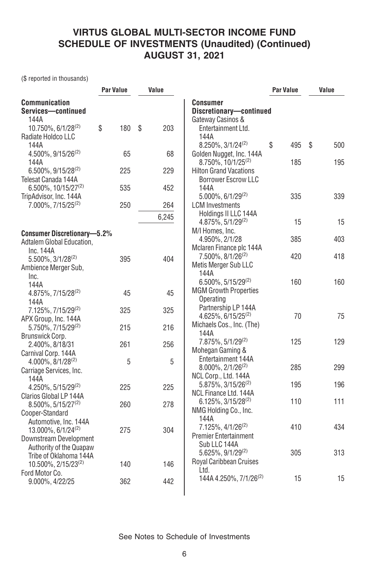(\$ reported in thousands)

|                                                                                                    | Par Value  | Value        |                                                                                                 | Par Value        | Value            |
|----------------------------------------------------------------------------------------------------|------------|--------------|-------------------------------------------------------------------------------------------------|------------------|------------------|
| <b>Communication</b><br>Services-continued<br>144A                                                 |            |              | Consumer<br>Discretionary-continued<br>Gateway Casinos &                                        |                  |                  |
| 10.750%, 6/1/28 <sup>(2)</sup><br>Radiate Holdco LLC                                               | \$<br>180  | \$<br>203    | Entertainment Ltd.<br>144A                                                                      |                  |                  |
| 144A<br>4.500%, 9/15/26 <sup>(2)</sup><br>144A                                                     | 65         | 68           | $8.250\%$ , 3/1/24 <sup>(2)</sup><br>Golden Nugget, Inc. 144A<br>8.750%, 10/1/25 <sup>(2)</sup> | \$<br>495<br>185 | \$<br>500<br>195 |
| 6.500%, 9/15/28 <sup>(2)</sup><br>Telesat Canada 144A                                              | 225        | 229          | <b>Hilton Grand Vacations</b><br><b>Borrower Escrow LLC</b>                                     |                  |                  |
| 6.500%, 10/15/27 <sup>(2)</sup><br>TripAdvisor, Inc. 144A                                          | 535        | 452          | 144A<br>5.000%, 6/1/29(2)                                                                       | 335              | 339              |
| 7.000%, 7/15/25 <sup>(2)</sup>                                                                     | 250        | 264<br>6,245 | <b>LCM</b> Investments<br>Holdings II LLC 144A<br>$4.875\%$ , $5/1/29^{(2)}$                    | 15               | 15               |
| <b>Consumer Discretionary-5.2%</b><br>Adtalem Global Education,                                    |            |              | M/I Homes, Inc.<br>4.950%, 2/1/28                                                               | 385              | 403              |
| Inc. 144A<br>$5.500\%, 3/1/28^{(2)}$                                                               | 395        | 404          | Mclaren Finance plc 144A<br>7.500%, 8/1/26 <sup>(2)</sup><br>Metis Merger Sub LLC               | 420              | 418              |
| Ambience Merger Sub,<br>Inc.<br>144A                                                               |            |              | 144A<br>$6.500\%$ , $5/15/29^{(2)}$                                                             | 160              | 160              |
| 4.875%, 7/15/28 <sup>(2)</sup><br>144A                                                             | 45         | 45           | <b>MGM Growth Properties</b><br>Operating                                                       |                  |                  |
| 7.125%, 7/15/29(2)<br>APX Group, Inc. 144A                                                         | 325        | 325          | Partnership LP 144A<br>$4.625\%$ , 6/15/25 <sup>(2)</sup><br>Michaels Cos., Inc. (The)          | 70               | 75               |
| 5.750%, 7/15/29(2)<br>Brunswick Corp.<br>2.400%, 8/18/31                                           | 215<br>261 | 216<br>256   | 144A<br>7.875%, 5/1/29(2)                                                                       | 125              | 129              |
| Carnival Corp. 144A<br>4.000%, 8/1/28 <sup>(2)</sup>                                               | 5          | 5            | Mohegan Gaming &<br>Entertainment 144A                                                          |                  |                  |
| Carriage Services, Inc.<br>144A                                                                    |            |              | $8.000\%$ , $2/1/26^{(2)}$<br>NCL Corp., Ltd. 144A<br>5.875%, 3/15/26 <sup>(2)</sup>            | 285<br>195       | 299<br>196       |
| $4.250\%$ , 5/15/29 <sup>(2)</sup><br>Clarios Global LP 144A<br>$8.500\%$ , 5/15/27 <sup>(2)</sup> | 225<br>260 | 225<br>278   | NCL Finance Ltd. 144A<br>$6.125\%, 3/15/28^{(2)}$                                               | 110              | 111              |
| Cooper-Standard<br>Automotive, Inc. 144A                                                           |            |              | NMG Holding Co., Inc.<br>144A                                                                   |                  |                  |
| 13.000%, 6/1/24 <sup>(2)</sup><br>Downstream Development                                           | 275        | 304          | 7.125%, 4/1/26 <sup>(2)</sup><br><b>Premier Entertainment</b><br>Sub LLC 144A                   | 410              | 434              |
| Authority of the Quapaw<br>Tribe of Oklahoma 144A<br>10.500%, 2/15/23 <sup>(2)</sup>               | 140        | 146          | 5.625%, 9/1/29 <sup>(2)</sup><br>Royal Caribbean Cruises                                        | 305              | 313              |
| Ford Motor Co.<br>9.000%, 4/22/25                                                                  | 362        | 442          | Ltd.<br>144A 4.250%, 7/1/26 <sup>(2)</sup>                                                      | 15               | 15               |
|                                                                                                    |            |              |                                                                                                 |                  |                  |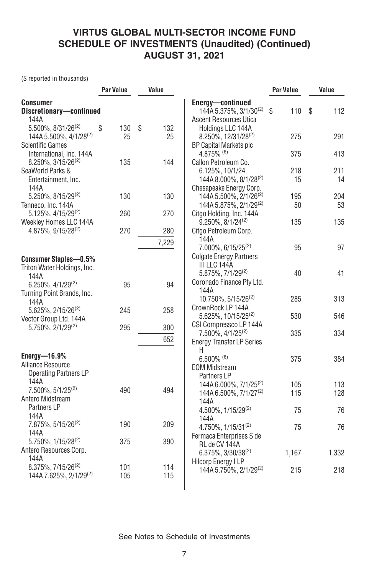(\$ reported in thousands)

|                                                                                                 | Par Value       | Value           |                                                                                         | <b>Par Value</b> | Value      |
|-------------------------------------------------------------------------------------------------|-----------------|-----------------|-----------------------------------------------------------------------------------------|------------------|------------|
| Consumer<br>Discretionary-continued<br>144A                                                     |                 |                 | Energy-continued<br>144A 5.375%, 3/1/30 <sup>(2)</sup><br><b>Ascent Resources Utica</b> | 110<br>S         | \$<br>112  |
| 5.500%, 8/31/26 <sup>(2)</sup><br>144A 5.500%, 4/1/28 <sup>(2)</sup><br><b>Scientific Games</b> | 130<br>\$<br>25 | \$<br>132<br>25 | Holdings LLC 144A<br>8.250%, 12/31/28 <sup>(2)</sup><br><b>BP Capital Markets plc</b>   | 275              | 291        |
| International, Inc. 144A<br>8.250%, 3/15/26 <sup>(2)</sup>                                      | 135             | 144             | $4.875\%$ <sup>(6)</sup><br>Callon Petroleum Co.                                        | 375              | 413        |
| SeaWorld Parks &<br>Entertainment, Inc.<br>144A                                                 |                 |                 | 6.125%, 10/1/24<br>144A 8.000%, 8/1/28 <sup>(2)</sup><br>Chesapeake Energy Corp.        | 218<br>15        | 211<br>14  |
| 5.250%, 8/15/29(2)<br>Tenneco, Inc. 144A                                                        | 130             | 130             | 144A 5.500%, 2/1/26 <sup>(2)</sup><br>144A 5.875%, 2/1/29 <sup>(2)</sup>                | 195<br>50        | 204<br>53  |
| 5.125%, 4/15/29 <sup>(2)</sup><br>Weekley Homes LLC 144A                                        | 260             | 270             | Citgo Holding, Inc. 144A<br>$9.250\%$ , $8/1/24^{(2)}$                                  | 135              | 135        |
| 4.875%, 9/15/28 <sup>(2)</sup>                                                                  | 270             | 280<br>7,229    | Citgo Petroleum Corp.<br>144A<br>$7.000\%$ , 6/15/25 <sup>(2)</sup>                     | 95               | 97         |
| <b>Consumer Staples-0.5%</b><br>Triton Water Holdings, Inc.                                     |                 |                 | <b>Colgate Energy Partners</b><br>III LLC 144A                                          |                  |            |
| 144A<br>$6.250\%, 4/1/29^{(2)}$                                                                 | 95              | 94              | 5.875%, 7/1/29 <sup>(2)</sup><br>Coronado Finance Pty Ltd.<br>144A                      | 40               | 41         |
| Turning Point Brands, Inc.<br>144A<br>5.625%, 2/15/26(2)                                        | 245             | 258             | 10.750%, 5/15/26 <sup>(2)</sup><br>CrownRock LP 144A                                    | 285              | 313        |
| Vector Group Ltd. 144A<br>$5.750\%$ , $2/1/29^{(2)}$                                            | 295             | 300             | 5.625%, 10/15/25 <sup>(2)</sup><br>CSI Compressco LP 144A                               | 530              | 546        |
|                                                                                                 |                 | 652             | 7.500%, 4/1/25 <sup>(2)</sup><br><b>Energy Transfer LP Series</b><br>Н.                 | 335              | 334        |
| Energy- $16.9\%$<br>Alliance Resource<br><b>Operating Partners LP</b>                           |                 |                 | $6.500\%$ <sup>(6)</sup><br><b>EQM Midstream</b><br>Partners LP                         | 375              | 384        |
| 144A<br>7.500%, 5/1/25 <sup>(2)</sup><br>Antero Midstream                                       | 490             | 494             | 144A 6.000%, 7/1/25 <sup>(2)</sup><br>144A 6.500%, 7/1/27 <sup>(2)</sup><br>144A        | 105<br>115       | 113<br>128 |
| Partners LP<br>144A                                                                             |                 |                 | $4.500\%$ , $1/15/29^{(2)}$<br>144A                                                     | 75               | 76         |
| 7.875%, 5/15/26 <sup>(2)</sup><br>144A                                                          | 190             | 209             | $4.750\%$ , $1/15/31^{(2)}$<br>Fermaca Enterprises S de                                 | 75               | 76         |
| 5.750%, 1/15/28 <sup>(2)</sup><br>Antero Resources Corp.<br>144A                                | 375             | 390             | RL de CV 144A<br>$6.375\%, 3/30/38^{(2)}$                                               | 1,167            | 1,332      |
| 8.375%, 7/15/26 <sup>(2)</sup><br>144A 7.625%, 2/1/29 <sup>(2)</sup>                            | 101<br>105      | 114<br>115      | <b>Hilcorp Energy I LP</b><br>144A 5.750%, 2/1/29 <sup>(2)</sup>                        | 215              | 218        |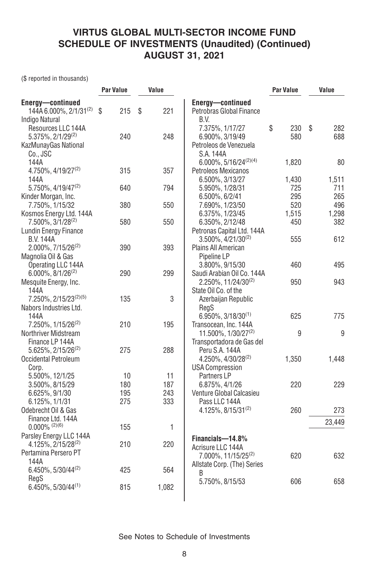(\$ reported in thousands)

|                                    | Par Value | Value     |                                       | <b>Par Value</b> | Value     |
|------------------------------------|-----------|-----------|---------------------------------------|------------------|-----------|
| Energy-continued                   |           |           | Energy-continued                      |                  |           |
| 144A 6.000%, 2/1/31 <sup>(2)</sup> | 215<br>S  | \$<br>221 | Petrobras Global Finance              |                  |           |
| Indigo Natural                     |           |           | B.V.                                  |                  |           |
| Resources LLC 144A                 |           |           | 7.375%, 1/17/27                       | \$<br>230        | \$<br>282 |
| 5.375%, 2/1/29 <sup>(2)</sup>      | 240       | 248       | 6.900%, 3/19/49                       | 580              | 688       |
| KazMunayGas National               |           |           | Petroleos de Venezuela                |                  |           |
| Co., JSC                           |           |           | S.A. 144A                             |                  |           |
| 144A                               |           |           | $6.000\%$ , 5/16/24 <sup>(2)(4)</sup> | 1.820            | 80        |
| 4.750%, 4/19/27 <sup>(2)</sup>     | 315       | 357       | Petroleos Mexicanos                   |                  |           |
| 144A                               |           |           | 6.500%, 3/13/27                       | 1,430            | 1,511     |
| 5.750%, 4/19/47 <sup>(2)</sup>     | 640       | 794       | 5.950%, 1/28/31                       | 725              | 711       |
| Kinder Morgan, Inc.                |           |           | 6.500%, 6/2/41                        | 295              | 265       |
| 7.750%, 1/15/32                    | 380       | 550       | 7.690%, 1/23/50                       | 520              | 496       |
| Kosmos Energy Ltd. 144A            |           |           | 6.375%, 1/23/45                       | 1,515            | 1,298     |
| 7.500%, 3/1/28 <sup>(2)</sup>      | 580       | 550       | 6.350%, 2/12/48                       | 450              | 382       |
| <b>Lundin Energy Finance</b>       |           |           | Petronas Capital Ltd. 144A            |                  |           |
| <b>B.V. 144A</b>                   |           |           | 3.500%, 4/21/30(2)                    | 555              | 612       |
| 2.000%, 7/15/26 <sup>(2)</sup>     | 390       | 393       | Plains All American                   |                  |           |
| Magnolia Oil & Gas                 |           |           | Pipeline LP                           |                  |           |
| Operating LLC 144A                 |           |           | 3.800%, 9/15/30                       | 460              | 495       |
| $6.000\%$ , $8/1/26^{(2)}$         | 290       | 299       | Saudi Arabian Oil Co. 144A            |                  |           |
| Mesquite Energy, Inc.              |           |           | $2.250\%$ , 11/24/30 <sup>(2)</sup>   | 950              | 943       |
| 144A                               |           |           | State Oil Co. of the                  |                  |           |
| 7.250%, 2/15/23 <sup>(2)(5)</sup>  | 135       | 3         | Azerbaijan Republic                   |                  |           |
| Nabors Industries Ltd.             |           |           | RegS                                  |                  |           |
| 144A                               |           |           | $6.950\%$ , 3/18/30 <sup>(1)</sup>    | 625              | 775       |
| 7.250%, 1/15/26 <sup>(2)</sup>     | 210       | 195       | Transocean, Inc. 144A                 |                  |           |
| Northriver Midstream               |           |           | 11.500%, 1/30/27 <sup>(2)</sup>       | 9                | 9         |
| Finance LP 144A                    |           |           | Transportadora de Gas del             |                  |           |
| 5.625%, 2/15/26 <sup>(2)</sup>     | 275       | 288       | Peru S.A. 144A                        |                  |           |
| Occidental Petroleum               |           |           | 4.250%, 4/30/28(2)                    | 1,350            | 1,448     |
| Corp.                              |           |           | <b>USA Compression</b>                |                  |           |
| 5.500%, 12/1/25                    | 10        | 11        | Partners LP                           |                  |           |
| 3.500%, 8/15/29                    | 180       | 187       | 6.875%, 4/1/26                        | 220              | 229       |
| 6.625%, 9/1/30                     | 195       | 243       | Venture Global Calcasieu              |                  |           |
| 6.125%, 1/1/31                     | 275       | 333       | Pass LLC 144A                         |                  |           |
| Odebrecht Oil & Gas                |           |           | $4.125\%$ , 8/15/31 <sup>(2)</sup>    | 260              | 273       |
| Finance Ltd. 144A                  |           |           |                                       |                  | 23,449    |
| $0.000\%$ (2)(6)                   | 155       | 1         |                                       |                  |           |
| Parsley Energy LLC 144A            |           |           | Financials-14.8%                      |                  |           |
| 4.125%, 2/15/28 <sup>(2)</sup>     | 210       | 220       | Acrisure LLC 144A                     |                  |           |
| Pertamina Persero PT               |           |           | 7.000%, 11/15/25 <sup>(2)</sup>       | 620              | 632       |
| 144A                               |           |           | Allstate Corp. (The) Series           |                  |           |
| 6.450%, 5/30/44(2)                 | 425       | 564       | B                                     |                  |           |
| RegS                               |           |           | 5.750%, 8/15/53                       | 606              | 658       |
| $6.450\%$ , 5/30/44 <sup>(1)</sup> | 815       | 1,082     |                                       |                  |           |
|                                    |           |           |                                       |                  |           |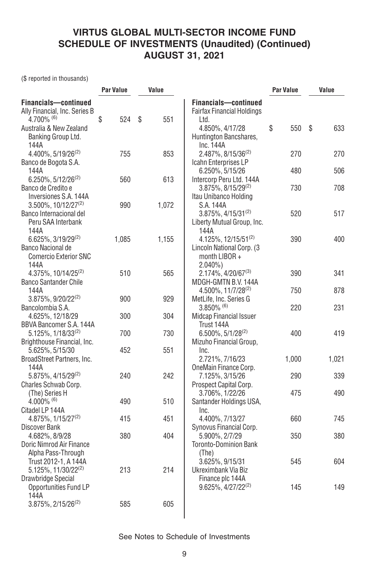(\$ reported in thousands)

|                                                                                          | <b>Par Value</b> | Value     |                                                                                              | <b>Par Value</b> | Value     |
|------------------------------------------------------------------------------------------|------------------|-----------|----------------------------------------------------------------------------------------------|------------------|-----------|
| Financials-continued<br>Ally Financial, Inc. Series B<br>$4.700\%$ <sup>(6)</sup>        | \$<br>524        | \$<br>551 | Financials-continued<br><b>Fairfax Financial Holdings</b><br>Ltd.                            |                  |           |
| Australia & New Zealand<br>Banking Group Ltd.<br>144A                                    |                  |           | 4.850%, 4/17/28<br>Huntington Bancshares,<br>Inc. 144A                                       | \$<br>550        | \$<br>633 |
| $4.400\%$ , 5/19/26 <sup>(2)</sup><br>Banco de Bogota S.A.                               | 755              | 853       | 2.487%, 8/15/36 <sup>(2)</sup><br><b>Icahn Enterprises LP</b>                                | 270              | 270       |
| 144A<br>6.250%, 5/12/26 <sup>(2)</sup>                                                   | 560              | 613       | 6.250%, 5/15/26<br>Intercorp Peru Ltd. 144A                                                  | 480              | 506       |
| Banco de Credito e<br>Inversiones S.A. 144A                                              |                  |           | 3.875%, 8/15/29(2)<br>Itau Unibanco Holding<br>S.A. 144A                                     | 730              | 708       |
| 3.500%, 10/12/27 <sup>(2)</sup><br>Banco Internacional del<br>Peru SAA Interbank<br>144A | 990              | 1,072     | 3.875%, 4/15/31(2)<br>Liberty Mutual Group, Inc.<br>144A                                     | 520              | 517       |
| 6.625%, 3/19/29(2)<br>Banco Nacional de<br><b>Comercio Exterior SNC</b><br>144A          | 1.085            | 1,155     | 4.125%, 12/15/51 <sup>(2)</sup><br>Lincoln National Corp. (3<br>month LIBOR +<br>$2.040\%$ ) | 390              | 400       |
| 4.375%, 10/14/25(2)<br><b>Banco Santander Chile</b>                                      | 510              | 565       | 2.174%, 4/20/67(3)<br>MDGH-GMTN B.V. 144A                                                    | 390              | 341       |
| 144A<br>3.875%, 9/20/22(2)                                                               | 900              | 929       | 4.500%, 11/7/28(2)<br>MetLife, Inc. Series G                                                 | 750              | 878       |
| Bancolombia S.A.<br>4.625%, 12/18/29<br>BBVA Bancomer S.A. 144A                          | 300              | 304       | $3.850\%$ <sup>(6)</sup><br><b>Midcap Financial Issuer</b><br>Trust 144A                     | 220              | 231       |
| 5.125%, 1/18/33(2)<br>Brighthouse Financial, Inc.                                        | 700              | 730       | $6.500\%$ , $5/1/28^{(2)}$<br>Mizuho Financial Group,                                        | 400              | 419       |
| 5.625%, 5/15/30<br>BroadStreet Partners, Inc.<br>144A                                    | 452              | 551       | Inc.<br>2.721%, 7/16/23<br>OneMain Finance Corp.                                             | 1,000            | 1,021     |
| 5.875%, 4/15/29(2)<br>Charles Schwab Corp.                                               | 240              | 242       | 7.125%, 3/15/26<br>Prospect Capital Corp.                                                    | 290              | 339       |
| (The) Series H<br>4.000% (6)                                                             | 490              | 510       | 3.706%, 1/22/26<br>Santander Holdings USA,                                                   | 475              | 490       |
| Citadel LP 144A<br>$4.875\%, 1/15/27^{(2)}$<br>Discover Bank                             | 415              | 451       | Inc.<br>4.400%, 7/13/27<br>Synovus Financial Corp.                                           | 660              | 745       |
| 4.682%, 8/9/28<br>Doric Nimrod Air Finance<br>Alpha Pass-Through                         | 380              | 404       | 5.900%, 2/7/29<br><b>Toronto-Dominion Bank</b><br>(The)                                      | 350              | 380       |
| Trust 2012-1, A 144A<br>5.125%, 11/30/22 <sup>(2)</sup><br>Drawbridge Special            | 213              | 214       | 3.625%, 9/15/31<br>Ukreximbank Via Biz<br>Finance plc 144A                                   | 545              | 604       |
| Opportunities Fund LP<br>144A<br>3.875%, 2/15/26 <sup>(2)</sup>                          | 585              | 605       | 9.625%, 4/27/22(2)                                                                           | 145              | 149       |
|                                                                                          |                  |           |                                                                                              |                  |           |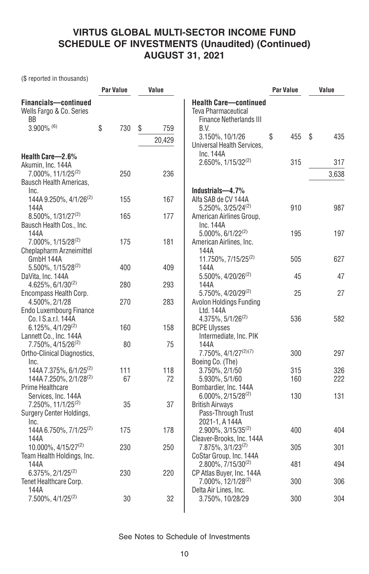(\$ reported in thousands)

|                                                        | <b>Par Value</b> | Value     |                                                                                       | <b>Par Value</b> | Value     |
|--------------------------------------------------------|------------------|-----------|---------------------------------------------------------------------------------------|------------------|-----------|
| Financials-continued<br>Wells Fargo & Co. Series<br>BB |                  |           | <b>Health Care-continued</b><br>Teva Pharmaceutical<br><b>Finance Netherlands III</b> |                  |           |
| 3.900% (6)                                             | \$<br>730        | \$<br>759 | B.V.                                                                                  |                  |           |
|                                                        |                  | 20,429    | 3.150%, 10/1/26<br>Universal Health Services,<br>Inc. 144A                            | \$<br>455        | \$<br>435 |
| Health Care-2.6%<br>Akumin, Inc. 144A                  |                  |           | $2.650\%, 1/15/32^{(2)}$                                                              | 315              | 317       |
| 7.000%, 11/1/25(2)                                     | 250              | 236       |                                                                                       |                  | 3,638     |
| Bausch Health Americas,<br>Inc.                        |                  |           | Industrials-4.7%                                                                      |                  |           |
| 144A 9.250%, 4/1/26 <sup>(2)</sup>                     | 155              | 167       | Alfa SAB de CV 144A                                                                   |                  |           |
| 144A                                                   |                  |           | 5.250%, 3/25/24 <sup>(2)</sup>                                                        | 910              | 987       |
| 8.500%, 1/31/27 <sup>(2)</sup>                         | 165              | 177       | American Airlines Group,                                                              |                  |           |
| Bausch Health Cos., Inc.                               |                  |           | Inc. 144A                                                                             |                  |           |
| 144A<br>7.000%, 1/15/28 <sup>(2)</sup>                 | 175              | 181       | $5.000\%$ , $6/1/22^{(2)}$<br>American Airlines, Inc.                                 | 195              | 197       |
| Cheplapharm Arzneimittel                               |                  |           | 144A                                                                                  |                  |           |
| GmbH 144A                                              |                  |           | 11.750%, 7/15/25 <sup>(2)</sup>                                                       | 505              | 627       |
| 5.500%, 1/15/28 <sup>(2)</sup>                         | 400              | 409       | 144A                                                                                  |                  |           |
| DaVita, Inc. 144A                                      |                  |           | 5.500%, 4/20/26 <sup>(2)</sup>                                                        | 45               | 47        |
| $4.625\%, 6/1/30^{(2)}$                                | 280              | 293       | 144A                                                                                  |                  |           |
| Encompass Health Corp.                                 |                  |           | 5.750%, 4/20/29(2)                                                                    | 25               | 27        |
| 4.500%, 2/1/28                                         | 270              | 283       | <b>Avolon Holdings Funding</b>                                                        |                  |           |
| Endo Luxembourg Finance<br>Co. I S.a.r.l. 144A         |                  |           | Ltd. 144A<br>$4.375\%$ , 5/1/26 <sup>(2)</sup>                                        | 536              | 582       |
| $6.125\%, \frac{4}{129^{(2)}}$                         | 160              | 158       | <b>BCPE Ulysses</b>                                                                   |                  |           |
| Lannett Co., Inc. 144A                                 |                  |           | Intermediate, Inc. PIK                                                                |                  |           |
| 7.750%, 4/15/26 <sup>(2)</sup>                         | 80               | 75        | 144A                                                                                  |                  |           |
| Ortho-Clinical Diagnostics,                            |                  |           | $7.750\%$ , $4/1/27^{(2)(7)}$                                                         | 300              | 297       |
| Inc.                                                   |                  |           | Boeing Co. (The)                                                                      |                  |           |
| 144A 7.375%, 6/1/25 <sup>(2)</sup>                     | 111              | 118       | 3.750%, 2/1/50                                                                        | 315              | 326       |
| 144A 7.250%, 2/1/28 <sup>(2)</sup><br>Prime Healthcare | 67               | 72        | 5.930%, 5/1/60<br>Bombardier, Inc. 144A                                               | 160              | 222       |
| Services, Inc. 144A                                    |                  |           | 6.000%, 2/15/28 <sup>(2)</sup>                                                        | 130              | 131       |
| 7.250%, 11/1/25 <sup>(2)</sup>                         | 35               | 37        | <b>British Airways</b>                                                                |                  |           |
| Surgery Center Holdings,                               |                  |           | Pass-Through Trust                                                                    |                  |           |
| Inc.                                                   |                  |           | 2021-1, A 144A                                                                        |                  |           |
| 144A 6.750%, 7/1/25 <sup>(2)</sup>                     | 175              | 178       | $2.900\%$ , 3/15/35 <sup>(2)</sup>                                                    | 400              | 404       |
| 144A                                                   |                  |           | Cleaver-Brooks, Inc. 144A                                                             |                  |           |
| 10.000%, 4/15/27 <sup>(2)</sup>                        | 230              | 250       | 7.875%, 3/1/23 <sup>(2)</sup>                                                         | 305              | 301       |
| Team Health Holdings, Inc.                             |                  |           | CoStar Group, Inc. 144A<br>2.800%, 7/15/30 <sup>(2)</sup>                             |                  |           |
| 144A<br>$6.375\%$ , $2/1/25^{(2)}$                     | 230              | 220       | CP Atlas Buyer, Inc. 144A                                                             | 481              | 494       |
| Tenet Healthcare Corp.                                 |                  |           | 7.000%, 12/1/28(2)                                                                    | 300              | 306       |
| 144A                                                   |                  |           | Delta Air Lines, Inc.                                                                 |                  |           |
| 7.500%, 4/1/25 <sup>(2)</sup>                          | 30               | 32        | 3.750%, 10/28/29                                                                      | 300              | 304       |
|                                                        |                  |           |                                                                                       |                  |           |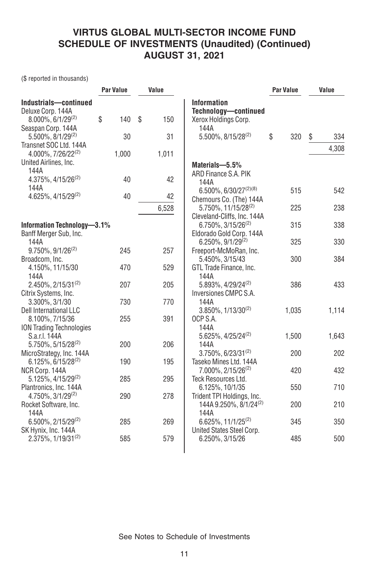|                                                  | <b>Par Value</b> | Value     |                                    | <b>Par Value</b> | Value     |
|--------------------------------------------------|------------------|-----------|------------------------------------|------------------|-----------|
| Industrials-continued                            |                  |           | <b>Information</b>                 |                  |           |
| Deluxe Corp. 144A                                |                  |           | Technology-continued               |                  |           |
| $8.000\%$ , 6/1/29 <sup>(2)</sup>                | \$<br>140        | \$<br>150 | Xerox Holdings Corp.               |                  |           |
| Seaspan Corp. 144A                               |                  |           | 144A                               |                  |           |
| 5.500%, 8/1/29(2)                                | 30               | 31        | 5.500%, 8/15/28 <sup>(2)</sup>     | \$<br>320        | \$<br>334 |
| Transnet SOC Ltd. 144A                           |                  |           |                                    |                  | 4,308     |
| 4.000%, 7/26/22 <sup>(2)</sup>                   | 1,000            | 1,011     |                                    |                  |           |
| United Airlines, Inc.                            |                  |           | Materials-5.5%                     |                  |           |
| 144A                                             |                  |           | ARD Finance S.A. PIK               |                  |           |
| $4.375\%$ , $4/15/26^{(2)}$                      | 40               | 42        | 144A                               |                  |           |
| 144A                                             |                  |           | $6.500\%$ , $6/30/27^{(2)(8)}$     | 515              | 542       |
| $4.625\%$ , $4/15/29^{(2)}$                      | 40               | 42        | Chemours Co. (The) 144A            |                  |           |
|                                                  |                  | 6,528     | 5.750%, 11/15/28 <sup>(2)</sup>    | 225              | 238       |
|                                                  |                  |           | Cleveland-Cliffs, Inc. 144A        |                  |           |
| Information Technology-3.1%                      |                  |           | $6.750\%$ , 3/15/26 <sup>(2)</sup> | 315              | 338       |
| Banff Merger Sub, Inc.                           |                  |           | Eldorado Gold Corp. 144A           |                  |           |
| 144A                                             |                  |           | $6.250\%$ , $9/1/29^{(2)}$         | 325              | 330       |
| $9.750\%$ , $9/1/26^{(2)}$                       | 245              | 257       | Freeport-McMoRan, Inc.             |                  |           |
| Broadcom, Inc.                                   |                  |           | 5.450%, 3/15/43                    | 300              | 384       |
| 4.150%, 11/15/30                                 | 470              | 529       | GTL Trade Finance, Inc.            |                  |           |
| 144A                                             |                  |           | 144A                               |                  |           |
| 2.450%, 2/15/31 <sup>(2)</sup>                   | 207              | 205       | 5.893%, 4/29/24 <sup>(2)</sup>     | 386              | 433       |
| Citrix Systems, Inc.                             |                  |           | Inversiones CMPC S.A.              |                  |           |
| 3.300%, 3/1/30                                   | 730              | 770       | 144A                               |                  |           |
| Dell International LLC                           |                  |           | $3.850\%$ , $1/13/30^{(2)}$        | 1.035            | 1,114     |
| 8.100%, 7/15/36                                  | 255              | 391       | OCP S.A.<br>144A                   |                  |           |
| <b>ION Trading Technologies</b><br>S.a.r.l. 144A |                  |           | $5.625\%$ , 4/25/24 <sup>(2)</sup> | 1,500            | 1,643     |
| 5.750%, 5/15/28 <sup>(2)</sup>                   | 200              | 206       | 144A                               |                  |           |
| MicroStrategy, Inc. 144A                         |                  |           | $3.750\%$ , 6/23/31 <sup>(2)</sup> | 200              | 202       |
| $6.125\%$ , 6/15/28 <sup>(2)</sup>               | 190              | 195       | Taseko Mines Ltd. 144A             |                  |           |
| NCR Corp. 144A                                   |                  |           | 7.000%, 2/15/26 <sup>(2)</sup>     | 420              | 432       |
| $5.125\%$ , 4/15/29 <sup>(2)</sup>               | 285              | 295       | <b>Teck Resources Ltd.</b>         |                  |           |
| Plantronics, Inc. 144A                           |                  |           | 6.125%, 10/1/35                    | 550              | 710       |
| 4.750%, 3/1/29 <sup>(2)</sup>                    | 290              | 278       | Trident TPI Holdings, Inc.         |                  |           |
| Rocket Software, Inc.                            |                  |           | 144A 9.250%, 8/1/24 <sup>(2)</sup> | 200              | 210       |
| 144A                                             |                  |           | 144A                               |                  |           |
| 6.500%, 2/15/29(2)                               | 285              | 269       | $6.625\%$ , 11/1/25 <sup>(2)</sup> | 345              | 350       |
| SK Hynix, Inc. 144A                              |                  |           | United States Steel Corp.          |                  |           |
| $2.375\%$ , $1/19/31^{(2)}$                      | 585              | 579       | 6.250%, 3/15/26                    | 485              | 500       |
|                                                  |                  |           |                                    |                  |           |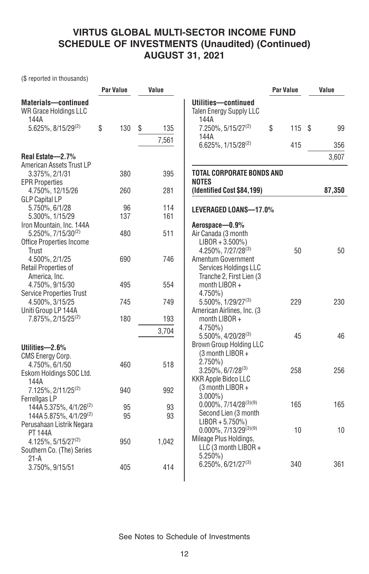|                                                                                                                | <b>Par Value</b> | Value              |                                                                                                               | <b>Par Value</b> |    | Value  |
|----------------------------------------------------------------------------------------------------------------|------------------|--------------------|---------------------------------------------------------------------------------------------------------------|------------------|----|--------|
| <b>Materials-continued</b><br><b>WR Grace Holdings LLC</b><br>144A                                             |                  |                    | Utilities-continued<br><b>Talen Energy Supply LLC</b><br>144A                                                 |                  |    |        |
| 5.625%, 8/15/29 <sup>(2)</sup>                                                                                 | \$<br>130        | \$<br>135<br>7,561 | $7.250\%$ , 5/15/27 <sup>(2)</sup><br>144A                                                                    | \$<br>115        | Ŝ. | 99     |
|                                                                                                                |                  |                    | $6.625\%$ , $1/15/28^{(2)}$                                                                                   | 415              |    | 356    |
| Real Estate-2.7%<br>American Assets Trust LP                                                                   |                  |                    |                                                                                                               |                  |    | 3,607  |
| 3.375%, 2/1/31<br><b>EPR Properties</b>                                                                        | 380              | 395                | TOTAL CORPORATE BONDS AND<br><b>NOTES</b>                                                                     |                  |    |        |
| 4.750%, 12/15/26<br><b>GLP Capital LP</b>                                                                      | 260              | 281                | (Identified Cost \$84,199)                                                                                    |                  |    | 87,350 |
| 5.750%, 6/1/28<br>5.300%, 1/15/29                                                                              | 96<br>137        | 114<br>161         | <b>LEVERAGED LOANS-17.0%</b>                                                                                  |                  |    |        |
| Iron Mountain, Inc. 144A<br>$5.250\%$ , $7/15/30^{(2)}$<br><b>Office Properties Income</b><br>Trust            | 480              | 511                | Aerospace-0.9%<br>Air Canada (3 month<br>$LIBOR + 3.500\%)$<br>4.250%, 7/27/28(3)                             | 50               |    | 50     |
| 4.500%, 2/1/25<br>Retail Properties of<br>America, Inc.                                                        | 690              | 746                | Amentum Government<br>Services Holdings LLC<br>Tranche 2, First Lien (3)                                      |                  |    |        |
| 4.750%, 9/15/30<br><b>Service Properties Trust</b>                                                             | 495              | 554                | month LIBOR +<br>$4.750\%$                                                                                    |                  |    |        |
| 4.500%, 3/15/25<br>Uniti Group LP 144A                                                                         | 745              | 749                | $5.500\%$ , $1/29/27^{(3)}$<br>American Airlines, Inc. (3                                                     | 229              |    | 230    |
| 7.875%, 2/15/25 <sup>(2)</sup>                                                                                 | 180              | 193                | month LIBOR +<br>$4.750\%$                                                                                    |                  |    |        |
|                                                                                                                |                  | 3,704              | 5.500%, 4/20/28 <sup>(3)</sup>                                                                                | 45               |    | 46     |
| Utilities-2.6%<br><b>CMS Energy Corp.</b>                                                                      |                  |                    | Brown Group Holding LLC<br>(3 month LIBOR +<br>$2.750\%)$                                                     |                  |    |        |
| 4.750%, 6/1/50<br>Eskom Holdings SOC Ltd.<br>144A                                                              | 460              | 518                | 3.250%, 6/7/28(3)<br><b>KKR Apple Bidco LLC</b>                                                               | 258              |    | 256    |
| 7.125%, 2/11/25(2)<br>Ferrellgas LP                                                                            | 940              | 992                | (3 month LIBOR +<br>$3.000\%$ )                                                                               |                  |    |        |
| 144A 5.375%, 4/1/26 <sup>(2)</sup><br>144A 5.875%, 4/1/29(2)                                                   | 95<br>95         | 93<br>93           | $0.000\%$ , $7/14/28^{(3)(9)}$<br>Second Lien (3 month                                                        | 165              |    | 165    |
| Perusahaan Listrik Negara<br><b>PT 144A</b><br>$4.125\%$ , 5/15/27 <sup>(2)</sup><br>Southern Co. (The) Series | 950              | 1.042              | $LIBOR + 5.750\%)$<br>$0.000\%$ , 7/13/29 <sup>(3)(9)</sup><br>Mileage Plus Holdings,<br>LLC (3 month LIBOR + | 10               |    | 10     |
| $21-A$<br>3.750%, 9/15/51                                                                                      | 405              | 414                | $5.250\%$<br>$6.250\%$ , 6/21/27 <sup>(3)</sup>                                                               | 340              |    | 361    |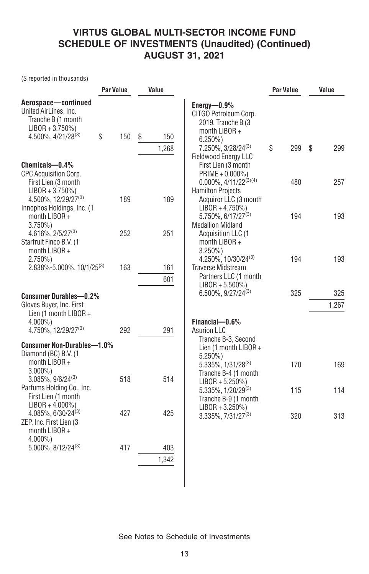|                                                                                                                               | <b>Par Value</b> | Value              |                                                                                                                                            | <b>Par Value</b> | Value     |
|-------------------------------------------------------------------------------------------------------------------------------|------------------|--------------------|--------------------------------------------------------------------------------------------------------------------------------------------|------------------|-----------|
| Aerospace-continued<br>United AirLines, Inc.<br>Tranche B (1 month<br>$LIBOR + 3.750\%)$<br>\$<br>$4.500\%$ , $4/21/28^{(3)}$ | 150              | \$<br>150<br>1,268 | Energy- $0.9\%$<br>CITGO Petroleum Corp.<br>2019, Tranche B (3)<br>month LIBOR +<br>$6.250\%$<br>7.250%, 3/28/24 <sup>(3)</sup>            | \$<br>299        | \$<br>299 |
| Chemicals-0.4%<br><b>CPC Acquisition Corp.</b><br>First Lien (3 month<br>$LIBOR + 3.750\%)$                                   |                  |                    | <b>Fieldwood Energy LLC</b><br>First Lien (3 month<br>PRIME + 0.000%)<br>$0.000\%$ , 4/11/22 <sup>(3)(4)</sup><br><b>Hamilton Projects</b> | 480              | 257       |
| 4.500%, 12/29/27 <sup>(3)</sup><br>Innophos Holdings, Inc. (1<br>month $LIBOR +$<br>$3.750\%$                                 | 189              | 189                | Acquiror LLC (3 month<br>$LIBOR + 4.750\%)$<br>5.750%, 6/17/27 <sup>(3)</sup><br><b>Medallion Midland</b>                                  | 194              | 193       |
| $4.616\%$ , $2/5/27^{(3)}$<br>Starfruit Finco B.V. (1<br>month LIBOR +<br>$2.750\%)$                                          | 252              | 251                | Acquisition LLC (1<br>month LIBOR +<br>$3.250\%$<br>4.250%, 10/30/24(3)                                                                    | 194              | 193       |
| $2.838\% - 5.000\%$ , 10/1/25 <sup>(3)</sup>                                                                                  | 163              | 161<br>601         | <b>Traverse Midstream</b><br>Partners LLC (1 month<br>$LIBOR + 5.500\%)$<br>6.500%, 9/27/24(3)                                             | 325              | 325       |
| <b>Consumer Durables-0.2%</b><br>Gloves Buyer, Inc. First<br>Lien (1 month LIBOR +<br>$4.000\%$ )                             |                  |                    | Financial-0.6%                                                                                                                             |                  | 1,267     |
| 4.750%, 12/29/27 <sup>(3)</sup><br><b>Consumer Non-Durables-1.0%</b><br>Diamond (BC) B.V. (1                                  | 292              | 291                | <b>Asurion LLC</b><br>Tranche B-3, Second<br>Lien (1 month LIBOR +                                                                         |                  |           |
| month LIBOR +<br>$3.000\%$<br>$3.085\%$ , $9/6/24^{(3)}$                                                                      | 518              | 514                | $5.250\%$<br>5.335%, 1/31/28(3)<br>Tranche B-4 (1 month<br>$LIBOR + 5.250\%)$                                                              | 170              | 169       |
| Parfums Holding Co., Inc.<br>First Lien (1 month<br>$LIBOR + 4.000\%)$                                                        |                  |                    | 5.335%, 1/20/29(3)<br>Tranche B-9 (1 month<br>$LIBOR + 3.250\%)$                                                                           | 115              | 114       |
| 4.085%, 6/30/24(3)<br>ZEP, Inc. First Lien (3<br>month LIBOR +<br>$4.000\%$ )                                                 | 427              | 425                | 3.335%, 7/31/27(3)                                                                                                                         | 320              | 313       |
| $5.000\%$ , $8/12/24^{(3)}$                                                                                                   | 417              | 403<br>1,342       |                                                                                                                                            |                  |           |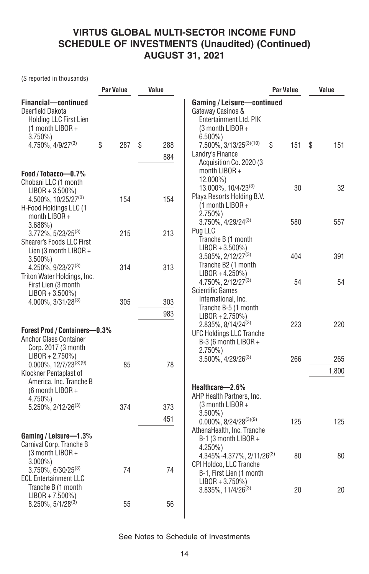(\$ reported in thousands)

|                                                                                                           | <b>Par Value</b> | Value      |                                                                                                                    | <b>Par Value</b> | Value     |
|-----------------------------------------------------------------------------------------------------------|------------------|------------|--------------------------------------------------------------------------------------------------------------------|------------------|-----------|
| Financial-continued<br>Deerfield Dakota<br><b>Holding LLC First Lien</b><br>(1 month LIBOR +<br>$3.750\%$ |                  |            | Gaming / Leisure-continued<br>Gateway Casinos &<br>Entertainment Ltd. PIK<br>(3 month LIBOR +<br>$6.500\%$         |                  |           |
| 4.750%, 4/9/27(3)                                                                                         | \$<br>287        | \$<br>288  | 7.500%, 3/13/25(3)(10)<br>\$                                                                                       | 151              | 151<br>\$ |
| Food / Tobacco-0.7%<br>Chobani LLC (1 month                                                               |                  | 884        | Landry's Finance<br>Acquisition Co. 2020 (3<br>month $LIBOR +$<br>12.000%)                                         |                  |           |
| $LIBOR + 3.500\%)$<br>4.500%, 10/25/27(3)<br>H-Food Holdings LLC (1<br>month LIBOR +                      | 154              | 154        | 13.000%, 10/4/23(3)<br>Playa Resorts Holding B.V.<br>(1 month LIBOR +<br>$2.750\%$                                 | 30               | 32        |
| 3.688%<br>3.772%, 5/23/25 <sup>(3)</sup><br>Shearer's Foods LLC First                                     | 215              | 213        | 3.750%, 4/29/24(3)<br>Pug LLC<br>Tranche B (1 month<br>$LIBOR + 3.500\%)$                                          | 580              | 557       |
| Lien (3 month LIBOR +<br>$3.500\%$ )<br>4.250%, 9/23/27(3)<br>Triton Water Holdings, Inc.                 | 314              | 313        | 3.585%, 2/12/27 <sup>(3)</sup><br>Tranche B2 (1 month<br>$LIBOR + 4.250\%)$                                        | 404              | 391       |
| First Lien (3 month<br>$LIBOR + 3.500\%)$<br>4.000%, 3/31/28(3)                                           | 305              | 303<br>983 | 4.750%, 2/12/27(3)<br><b>Scientific Games</b><br>International, Inc.<br>Tranche B-5 (1 month<br>$LIBOR + 2.750\%)$ | 54               | 54        |
| Forest Prod / Containers-0.3%<br><b>Anchor Glass Container</b><br>Corp. 2017 (3 month                     |                  |            | 2.835%, 8/14/24(3)<br><b>UFC Holdings LLC Tranche</b><br>B-3 (6 month LIBOR +<br>$2.750\%)$                        | 223              | 220       |
| $LIBOR + 2.750\%)$<br>$0.000\%$ , $12/7/23^{(3)(9)}$                                                      | 85               | 78         | 3.500%, 4/29/26(3)                                                                                                 | 266              | 265       |
| Klockner Pentaplast of                                                                                    |                  |            |                                                                                                                    |                  | 1,800     |
| America, Inc. Tranche B<br>(6 month LIBOR +<br>4.750%)                                                    |                  |            | Healthcare-2.6%<br>AHP Health Partners, Inc.<br>$(3$ month LIBOR +                                                 |                  |           |
| 5.250%, 2/12/26(3)                                                                                        | 374              | 373        | $3.500\%$                                                                                                          |                  |           |
| Gaming / Leisure-1.3%<br>Carnival Corp. Tranche B                                                         |                  | 451        | $0.000\%$ , 8/24/28 <sup>(3)(9)</sup><br>AthenaHealth, Inc. Tranche<br>B-1 (3 month LIBOR +<br>$4.250\%$           | 125              | 125       |
| (3 month LIBOR +<br>$3.000\%$ )<br>3.750%, 6/30/25(3)<br><b>ECL Entertainment LLC</b>                     | 74               | 74         | 4.345%-4.377%, 2/11/26(3)<br>CPI Holdco, LLC Tranche<br>B-1, First Lien (1 month<br>$LIBOR + 3.750\%)$             | 80               | 80        |
| Tranche B (1 month<br>$LIBOR + 7.500\%)$<br>8.250%, 5/1/28 <sup>(3)</sup>                                 | 55               | 56         | 3.835%, 11/4/26(3)                                                                                                 | 20               | 20        |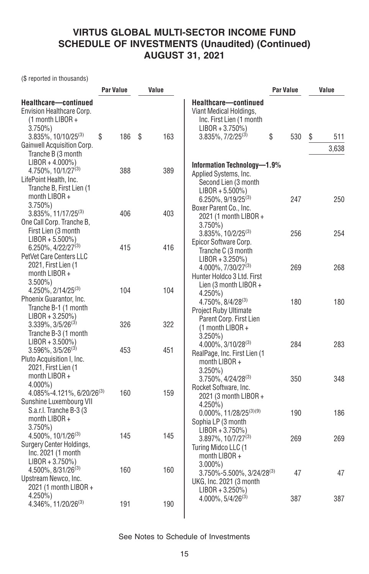(\$ reported in thousands)

|                                                                                    | <b>Par Value</b> | Value     |                                                                                                   | <b>Par Value</b> | Value     |
|------------------------------------------------------------------------------------|------------------|-----------|---------------------------------------------------------------------------------------------------|------------------|-----------|
| Healthcare-continued<br>Envision Healthcare Corp.<br>(1 month LIBOR +<br>$3.750\%$ |                  |           | Healthcare-continued<br>Viant Medical Holdings,<br>Inc. First Lien (1 month<br>$LIBOR + 3.750\%)$ |                  |           |
| $3.835\%$ , 10/10/25 <sup>(3)</sup>                                                | \$<br>186        | \$<br>163 | $3.835\%$ , $7/2/25^{(3)}$                                                                        | \$<br>530        | \$<br>511 |
| Gainwell Acquisition Corp.                                                         |                  |           |                                                                                                   |                  | 3,638     |
| Tranche B (3 month                                                                 |                  |           |                                                                                                   |                  |           |
| $LIBOR + 4.000\%)$<br>4.750%, 10/1/27(3)                                           | 388              |           | Information Technology-1.9%                                                                       |                  |           |
| LifePoint Health, Inc.                                                             |                  | 389       | Applied Systems, Inc.                                                                             |                  |           |
| Tranche B, First Lien (1                                                           |                  |           | Second Lien (3 month                                                                              |                  |           |
| month $LIBOR +$                                                                    |                  |           | $LIBOR + 5.500\%)$                                                                                |                  |           |
| $3.750\%$                                                                          |                  |           | 6.250%, 9/19/25(3)                                                                                | 247              | 250       |
| $3.835\%$ , 11/17/25 <sup>(3)</sup>                                                | 406              | 403       | Boxer Parent Co., Inc.                                                                            |                  |           |
| One Call Corp. Tranche B,                                                          |                  |           | 2021 (1 month LIBOR +<br>$3.750\%$                                                                |                  |           |
| First Lien (3 month                                                                |                  |           | 3.835%, 10/2/25 <sup>(3)</sup>                                                                    | 256              | 254       |
| $LIBOR + 5.500\%)$                                                                 |                  |           | Epicor Software Corp.                                                                             |                  |           |
| 6.250%, 4/22/27 <sup>(3)</sup>                                                     | 415              | 416       | Tranche C (3 month                                                                                |                  |           |
| PetVet Care Centers LLC                                                            |                  |           | $LIBOR + 3.250\%)$                                                                                |                  |           |
| 2021, First Lien (1                                                                |                  |           | 4.000%, 7/30/27(3)                                                                                | 269              | 268       |
| month LIBOR +                                                                      |                  |           | Hunter Holdco 3 Ltd. First                                                                        |                  |           |
| $3.500\%$                                                                          |                  |           | Lien (3 month LIBOR $+$                                                                           |                  |           |
| 4.250%, 2/14/25(3)                                                                 | 104              | 104       | $4.250\%$                                                                                         |                  |           |
| Phoenix Guarantor, Inc.                                                            |                  |           | 4.750%, 8/4/28(3)                                                                                 | 180              | 180       |
| Tranche B-1 (1 month<br>$LIBOR + 3.250\%)$                                         |                  |           | <b>Project Ruby Ultimate</b>                                                                      |                  |           |
| $3.339\%$ , $3/5/26^{(3)}$                                                         | 326              | 322       | Parent Corp. First Lien                                                                           |                  |           |
| Tranche B-3 (1 month                                                               |                  |           | (1 month LIBOR +                                                                                  |                  |           |
| $LIBOR + 3.500\%)$                                                                 |                  |           | $3.250\%$<br>4.000%, 3/10/28(3)                                                                   | 284              | 283       |
| $3.596\%$ , $3/5/26^{(3)}$                                                         | 453              | 451       | RealPage, Inc. First Lien (1                                                                      |                  |           |
| Pluto Acquisition I, Inc.                                                          |                  |           | month LIBOR +                                                                                     |                  |           |
| 2021, First Lien (1                                                                |                  |           | $3.250\%$                                                                                         |                  |           |
| month $LIBOR +$                                                                    |                  |           | 3.750%, 4/24/28(3)                                                                                | 350              | 348       |
| $4.000\%$                                                                          |                  |           | Rocket Software, Inc.                                                                             |                  |           |
| 4.085%-4.121%, 6/20/26 <sup>(3)</sup>                                              | 160              | 159       | 2021 (3 month LIBOR +                                                                             |                  |           |
| Sunshine Luxembourg VII                                                            |                  |           | $4.250\%$                                                                                         |                  |           |
| S.a.r.l. Tranche B-3 (3<br>month $LIBOR +$                                         |                  |           | $0.000\%$ , 11/28/25 <sup>(3)(9)</sup>                                                            | 190              | 186       |
| 3.750%)                                                                            |                  |           | Sophia LP (3 month                                                                                |                  |           |
| 4.500%, 10/1/26(3)                                                                 | 145              | 145       | $LIBOR + 3.750\%)$                                                                                |                  |           |
| Surgery Center Holdings,                                                           |                  |           | 3.897%, 10/7/27(3)                                                                                | 269              | 269       |
| Inc. 2021 (1 month                                                                 |                  |           | Turing Midco LLC (1                                                                               |                  |           |
| $LIBOR + 3.750\%)$                                                                 |                  |           | month LIBOR +<br>$3.000\%$ )                                                                      |                  |           |
| 4.500%, 8/31/26(3)                                                                 | 160              | 160       | 3.750%-5.500%, 3/24/28 <sup>(3)</sup>                                                             | 47               | 47        |
| Upstream Newco, Inc.                                                               |                  |           | UKG, Inc. 2021 (3 month                                                                           |                  |           |
| 2021 (1 month LIBOR +                                                              |                  |           | $LIBOR + 3.250\%)$                                                                                |                  |           |
| 4.250%)                                                                            |                  |           | 4.000%, 5/4/26 <sup>(3)</sup>                                                                     | 387              | 387       |
| $4.346\%$ , 11/20/26 <sup>(3)</sup>                                                | 191              | 190       |                                                                                                   |                  |           |
|                                                                                    |                  |           |                                                                                                   |                  |           |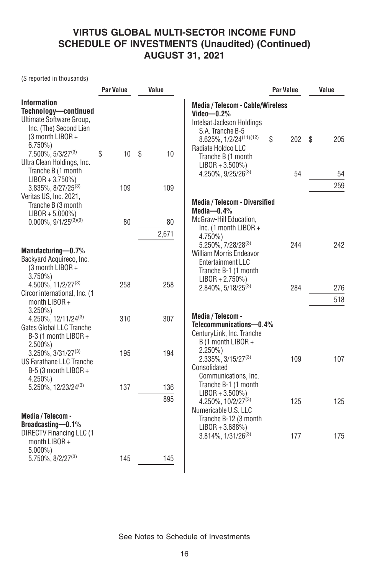(\$ reported in thousands)

|                                                                                                                                                                 | <b>Par Value</b> | Value       |                                                                                                                                                                       | <b>Par Value</b> | Value     |
|-----------------------------------------------------------------------------------------------------------------------------------------------------------------|------------------|-------------|-----------------------------------------------------------------------------------------------------------------------------------------------------------------------|------------------|-----------|
| <b>Information</b><br>Technology-continued<br>Ultimate Software Group,<br>Inc. (The) Second Lien<br>(3 month LIBOR +<br>$6.750\%$<br>$7.500\%$ , $5/3/27^{(3)}$ | \$<br>10         | S.<br>10    | <b>Media / Telecom - Cable/Wireless</b><br>Video $-0.2%$<br>Intelsat Jackson Holdings<br>S.A. Tranche B-5<br>8.625%, 1/2/24 <sup>(11)(12)</sup><br>Radiate Holdco LLC | \$<br>202        | \$<br>205 |
| Ultra Clean Holdings, Inc.<br>Tranche B (1 month<br>$LIBOR + 3.750\%)$                                                                                          |                  |             | Tranche B (1 month<br>$LIBOR + 3.500\%)$<br>4.250%, 9/25/26(3)                                                                                                        | 54               | 54        |
| $3.835\%, 8/27/25^{(3)}$<br>Veritas US, Inc. 2021,                                                                                                              | 109              | 109         |                                                                                                                                                                       |                  | 259       |
| Tranche B (3 month<br>$LIBOR + 5.000\%)$<br>$0.000\%$ , 9/1/25 <sup>(3)(9)</sup>                                                                                | 80               | 80<br>2,671 | Media / Telecom - Diversified<br>Media- $0.4%$<br>McGraw-Hill Education,<br>Inc. (1 month LIBOR +<br>4.750%)                                                          |                  |           |
| Manufacturing-0.7%<br>Backyard Acquireco, Inc.<br>(3 month LIBOR +<br>$3.750\%$                                                                                 |                  |             | 5.250%, 7/28/28 <sup>(3)</sup><br><b>William Morris Endeavor</b><br><b>Entertainment LLC</b><br>Tranche B-1 (1 month<br>$LIBOR + 2.750\%)$                            | 244              | 242       |
| 4.500%, 11/2/27 <sup>(3)</sup><br>Circor international, Inc. (1                                                                                                 | 258              | 258         | $2.840\%$ , 5/18/25 <sup>(3)</sup>                                                                                                                                    | 284              | 276       |
| month $LIBOR +$<br>$3.250\%)$                                                                                                                                   |                  |             | Media / Telecom -                                                                                                                                                     |                  | 518       |
| 4.250%, 12/11/24(3)<br>Gates Global LLC Tranche<br>$B-3$ (1 month LIBOR +<br>$2.500\%$ )                                                                        | 310              | 307         | Telecommunications-0.4%<br>CenturyLink, Inc. Tranche<br>B (1 month LIBOR +                                                                                            |                  |           |
| 3.250%, 3/31/27(3)<br><b>US Farathane LLC Tranche</b><br>$B-5$ (3 month LIBOR +<br>$4.250\%$                                                                    | 195              | 194         | $2.250\%$<br>2.335%, 3/15/27 <sup>(3)</sup><br>Consolidated<br>Communications, Inc.                                                                                   | 109              | 107       |
| 5.250%, 12/23/24 <sup>(3)</sup>                                                                                                                                 | 137              | 136         | Tranche B-1 (1 month<br>$LIBOR + 3.500\%)$                                                                                                                            |                  |           |
| Media / Telecom -                                                                                                                                               |                  | 895         | 4.250%, 10/2/27(3)<br>Numericable U.S. LLC<br>Tranche B-12 (3 month                                                                                                   | 125              | 125       |
| Broadcasting-0.1%<br><b>DIRECTV Financing LLC (1</b><br>month $LIBOR +$<br>$5.000\%$ )                                                                          |                  |             | $LIBOR + 3.688\%)$<br>$3.814\%, 1/31/26^{(3)}$                                                                                                                        | 177              | 175       |
| $5.750\%$ , $8/2/27^{(3)}$                                                                                                                                      | 145              | 145         |                                                                                                                                                                       |                  |           |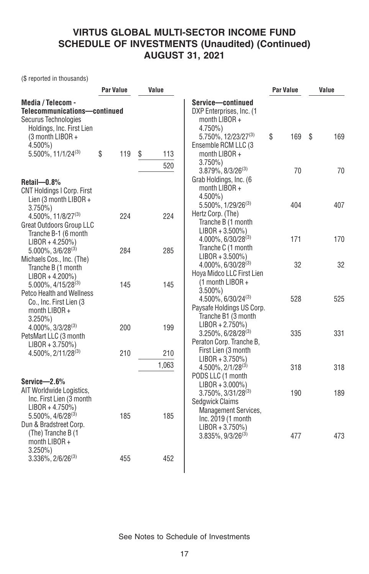|                                                                                                                                       | <b>Par Value</b> | Value            |                                                                                                                                 | Par Value | Value    |
|---------------------------------------------------------------------------------------------------------------------------------------|------------------|------------------|---------------------------------------------------------------------------------------------------------------------------------|-----------|----------|
| Media / Telecom -<br>Telecommunications-continued<br>Securus Technologies<br>Holdings, Inc. First Lien<br>(3 month LIBOR +            |                  |                  | Service-continued<br>DXP Enterprises, Inc. (1)<br>month LIBOR +<br>$4.750\%$<br>5.750%, 12/23/27 <sup>(3)</sup>                 | \$<br>169 | 169<br>S |
| $4.500\%$ )<br>$5.500\%$ , 11/1/24 <sup>(3)</sup>                                                                                     | \$<br>119        | \$<br>113<br>520 | Ensemble RCM LLC (3<br>month LIBOR +<br>$3.750\%$                                                                               |           |          |
| Retail-0.8%<br><b>CNT Holdings I Corp. First</b><br>Lien (3 month LIBOR +                                                             |                  |                  | 3.879%, 8/3/26 <sup>(3)</sup><br>Grab Holdings, Inc. (6)<br>month LIBOR +<br>$4.500\%$ )                                        | 70        | 70       |
| $3.750\%$<br>4.500%, 11/8/27 <sup>(3)</sup><br>Great Outdoors Group LLC                                                               | 224              | 224              | $5.500\%$ , $1/29/26^{(3)}$<br>Hertz Corp. (The)<br>Tranche B (1 month<br>$LIBOR + 3.500\%)$                                    | 404       | 407      |
| Tranche B-1 (6 month<br>$LIBOR + 4.250\%)$<br>$5.000\%$ , 3/6/28 <sup>(3)</sup><br>Michaels Cos., Inc. (The)                          | 284              | 285              | 4.000%, 6/30/28(3)<br>Tranche C (1 month<br>$LIBOR + 3.500\%)$                                                                  | 171       | 170      |
| Tranche B (1 month<br>$LIBOR + 4.200\%)$<br>5.000%, 4/15/28(3)<br><b>Petco Health and Wellness</b>                                    | 145              | 145              | $4.000\%$ , 6/30/28 <sup>(3)</sup><br>Hoya Midco LLC First Lien<br>$(1$ month LIBOR +<br>$3.500\%$                              | 32        | 32       |
| Co., Inc. First Lien (3<br>month $LIBOR +$<br>$3.250\%$ )<br>4.000%, 3/3/28(3)                                                        | 200              | 199              | $4.500\%$ , 6/30/24 <sup>(3)</sup><br>Paysafe Holdings US Corp.<br>Tranche B1 (3 month<br>$LIBOR + 2.750\%)$                    | 528       | 525      |
| PetsMart LLC (3 month<br>$LIBOR + 3.750\%)$<br>4.500%, 2/11/28(3)                                                                     | 210              | 210              | 3.250%, 6/28/28(3)<br>Peraton Corp. Tranche B,<br>First Lien (3 month<br>$LIBOR + 3.750\%)$                                     | 335       | 331      |
| Service-2.6%                                                                                                                          |                  | 1,063            | $4.500\%$ , $2/1/28^{(3)}$<br>PODS LLC (1 month                                                                                 | 318       | 318      |
| AIT Worldwide Logistics,<br>Inc. First Lien (3 month<br>$LIBOR + 4.750\%)$<br>5.500%, 4/6/28 <sup>(3)</sup><br>Dun & Bradstreet Corp. | 185              | 185              | $LIBOR + 3.000\%)$<br>3.750%, 3/31/28(3)<br>Sedgwick Claims<br>Management Services,<br>Inc. 2019 (1 month<br>$LIBOR + 3.750\%)$ | 190       | 189      |
| (The) Tranche B (1<br>month $LIBOR +$<br>$3.250\%$<br>$3.336\%$ , $2/6/26^{(3)}$                                                      | 455              | 452              | 3.835%, 9/3/26 <sup>(3)</sup>                                                                                                   | 477       | 473      |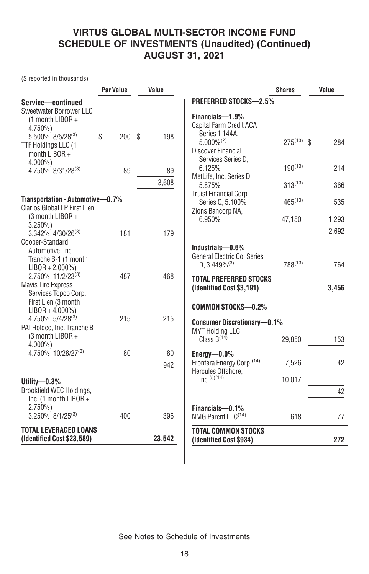(\$ reported in thousands)

| <b>Par Value</b>                 | Value     |                                                                            |                                                                                                                                                          | Value                                                                                                                              |
|----------------------------------|-----------|----------------------------------------------------------------------------|----------------------------------------------------------------------------------------------------------------------------------------------------------|------------------------------------------------------------------------------------------------------------------------------------|
|                                  |           | <b>PREFERRED STOCKS-2.5%</b><br>Financials-1.9%<br>Capital Farm Credit ACA |                                                                                                                                                          |                                                                                                                                    |
| \$                               | 198       | $5.000\%^{(2)}$<br>Discover Financial                                      |                                                                                                                                                          | 284                                                                                                                                |
| 89                               | 89        | 6.125%<br>MetLife, Inc. Series D,                                          |                                                                                                                                                          | 214                                                                                                                                |
|                                  |           | 5.875%                                                                     |                                                                                                                                                          | 366                                                                                                                                |
| Transportation - Automotive-0.7% |           | Series Q, 5.100%<br>Zions Bancorp NA,                                      |                                                                                                                                                          | 535                                                                                                                                |
|                                  |           |                                                                            |                                                                                                                                                          | 1,293                                                                                                                              |
| 181                              | 179       |                                                                            |                                                                                                                                                          | 2,692                                                                                                                              |
|                                  |           | Industrials-0.6%<br>General Electric Co. Series<br>D. $3.449\%^{(3)}$      |                                                                                                                                                          | 764                                                                                                                                |
| 487                              | 468       | <b>TOTAL PREFERRED STOCKS</b><br>(Identified Cost \$3,191)                 |                                                                                                                                                          | 3.456                                                                                                                              |
|                                  |           | <b>COMMON STOCKS-0.2%</b>                                                  |                                                                                                                                                          |                                                                                                                                    |
|                                  |           | <b>MYT Holding LLC</b>                                                     |                                                                                                                                                          | 153                                                                                                                                |
| 80                               | 80<br>942 | Energy- $0.0\%$<br>Frontera Energy Corp. <sup>(14)</sup>                   |                                                                                                                                                          | 42                                                                                                                                 |
|                                  |           | $Inc^{(5)(14)}$                                                            |                                                                                                                                                          |                                                                                                                                    |
|                                  |           |                                                                            |                                                                                                                                                          | 42                                                                                                                                 |
| 400                              | 396       | Financials-0.1%<br>NMG Parent LLC <sup>(14)</sup>                          | 618                                                                                                                                                      | 77                                                                                                                                 |
| <b>TOTAL LEVERAGED LOANS</b>     | 23,542    | <b>TOTAL COMMON STOCKS</b><br>(Identified Cost \$934)                      |                                                                                                                                                          | 272                                                                                                                                |
|                                  | 215       | 200S<br>3,608<br>215                                                       | Series 1 144A,<br>Services Series D.<br>Truist Financial Corp.<br>6.950%<br><b>Consumer Discretionary-0.1%</b><br>Class $B^{(14)}$<br>Hercules Offshore. | <b>Shares</b><br>$275^{(13)}$ \$<br>$190^{(13)}$<br>$313^{(13)}$<br>$465^{(13)}$<br>47,150<br>788(13)<br>29,850<br>7.526<br>10,017 |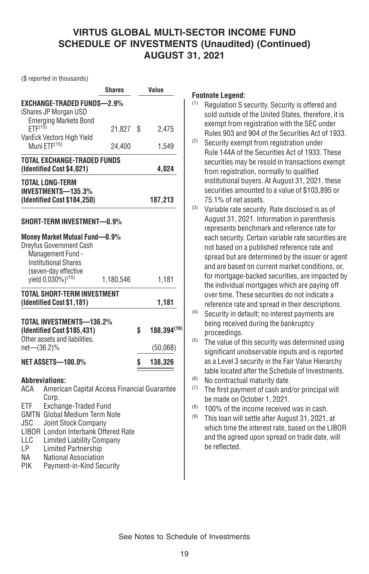(\$ reported in thousands)

|                     |                                                            | <b>Shares</b> | Value             |
|---------------------|------------------------------------------------------------|---------------|-------------------|
|                     | <b>EXCHANGE-TRADED FUNDS-2.9%</b>                          |               |                   |
|                     | iShares JP Morgan USD<br><b>Emerging Markets Bond</b>      |               |                   |
| ETF <sup>(15)</sup> |                                                            | 21,827 \$     | 2,475             |
|                     | VanEck Vectors High Yield                                  |               |                   |
|                     | Muni ETF <sup>(15)</sup>                                   | 24,400        | 1,549             |
|                     | <b>TOTAL EXCHANGE-TRADED FUNDS</b>                         |               |                   |
|                     | (Identified Cost \$4,021)                                  |               | 4,024             |
|                     | <b>TOTAL LONG-TERM</b>                                     |               |                   |
|                     | <b>INVESTMENTS-135.3%</b>                                  |               |                   |
|                     | (Identified Cost \$184,250)                                |               | 187,213           |
|                     | SHORT-TERM INVESTMENT-0.9%                                 |               |                   |
|                     | <b>Money Market Mutual Fund-0.9%</b>                       |               |                   |
|                     | Dreyfus Government Cash                                    |               |                   |
|                     | Management Fund -                                          |               |                   |
|                     | <b>Institutional Shares</b>                                |               |                   |
|                     | (seven-day effective                                       |               |                   |
|                     | vield 0.030%) <sup>(15)</sup>                              | 1,180,546     | 1,181             |
|                     | TOTAL SHORT-TERM INVESTMENT                                |               |                   |
|                     | (Identified Cost \$1,181)                                  |               | 1,181             |
|                     | TOTAL INVESTMENTS-136.2%                                   |               |                   |
|                     | (Identified Cost \$185,431)                                |               | \$<br>188,394(16) |
|                     | Other assets and liabilities,                              |               |                   |
| net-(36.2)%         |                                                            |               | (50,068)          |
|                     | <b>NET ASSETS-100.0%</b>                                   |               | \$<br>138,326     |
|                     | <b>Abbreviations:</b>                                      |               |                   |
| ACA                 | American Capital Access Financial Guarantee                |               |                   |
|                     | Corp.                                                      |               |                   |
| ETF.                | Exchange-Traded Fund                                       |               |                   |
| JSC                 | <b>GMTN</b> Global Medium Term Note<br>Joint Stock Company |               |                   |
|                     | LIBOR London Interbank Offered Rate                        |               |                   |
| LLC                 | <b>Limited Liability Company</b>                           |               |                   |
| LP                  | <b>Limited Partnership</b>                                 |               |                   |
| ΝA                  | National Association                                       |               |                   |

PIK Payment-in-Kind Security

#### **Footnote Legend:**

- (1) Regulation S security. Security is offered and sold outside of the United States, therefore, it is exempt from registration with the SEC under Rules 903 and 904 of the Securities Act of 1933.
- <sup>(2)</sup> Security exempt from registration under Rule 144A of the Securities Act of 1933. These securities may be resold in transactions exempt from registration, normally to qualified institutional buyers. At August 31, 2021, these securities amounted to a value of \$103,895 or 75.1% of net assets.
- (3) Variable rate security. Rate disclosed is as of August 31, 2021. Information in parenthesis represents benchmark and reference rate for each security. Certain variable rate securities are not based on a published reference rate and spread but are determined by the issuer or agent and are based on current market conditions, or, for mortgage-backed securities, are impacted by the individual mortgages which are paying off over time. These securities do not indicate a reference rate and spread in their descriptions.
- (4) Security in default; no interest payments are being received during the bankruptcy proceedings.
- $(5)$  The value of this security was determined using significant unobservable inputs and is reported as a Level 3 security in the Fair Value Hierarchy table located after the Schedule of Investments.
- (6) No contractual maturity date.
- (7) The first payment of cash and/or principal will be made on October 1, 2021.
- $(8)$  100% of the income received was in cash.
- (9) This loan will settle after August 31, 2021, at which time the interest rate, based on the LIBOR and the agreed upon spread on trade date, will be reflected.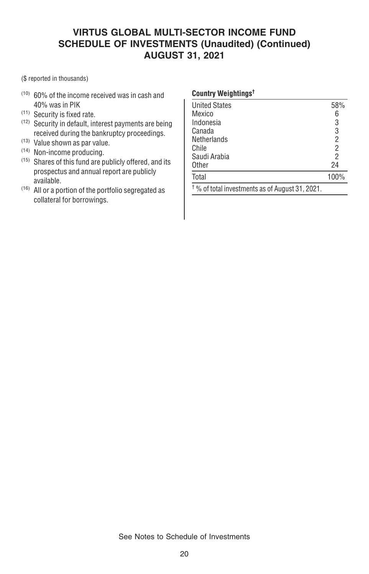(\$ reported in thousands)

- (10) 60% of the income received was in cash and 40% was in PIK
- (11) Security is fixed rate.
- (12) Security in default, interest payments are being received during the bankruptcy proceedings.
- (13) Value shown as par value.
- (14) Non-income producing.
- (15) Shares of this fund are publicly offered, and its prospectus and annual report are publicly available.
- (16) All or a portion of the portfolio segregated as collateral for borrowings.

#### **Country Weightings†**

| <b>United States</b>                                       | 58%            |
|------------------------------------------------------------|----------------|
| Mexico                                                     | 6              |
| Indonesia                                                  | 3              |
| Canada                                                     | 3              |
| Netherlands                                                | $\overline{2}$ |
| Chile                                                      | 2              |
| Saudi Arabia                                               | 2              |
| <b>Other</b>                                               | 24             |
| Total                                                      | 100%           |
| <sup>†</sup> % of total investments as of August 31, 2021. |                |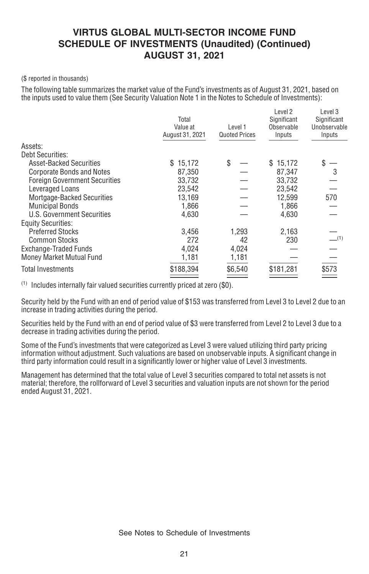#### (\$ reported in thousands)

The following table summarizes the market value of the Fund's investments as of August 31, 2021, based on the inputs used to value them (See Security Valuation Note 1 in the Notes to Schedule of Investments):

|                                      | Total<br>Value at<br>August 31, 2021 | Level 1<br><b>Quoted Prices</b> | Level <sub>2</sub><br>Significant<br>Observable<br>Inputs | Level 3<br>Significant<br>Unobservable<br>Inputs |
|--------------------------------------|--------------------------------------|---------------------------------|-----------------------------------------------------------|--------------------------------------------------|
| Assets:                              |                                      |                                 |                                                           |                                                  |
| <b>Debt Securities:</b>              |                                      |                                 |                                                           |                                                  |
| <b>Asset-Backed Securities</b>       | \$15,172                             | \$                              | \$15,172                                                  | \$                                               |
| <b>Corporate Bonds and Notes</b>     | 87,350                               |                                 | 87.347                                                    |                                                  |
| <b>Foreign Government Securities</b> | 33,732                               |                                 | 33,732                                                    |                                                  |
| Leveraged Loans                      | 23,542                               |                                 | 23,542                                                    |                                                  |
| Mortgage-Backed Securities           | 13,169                               |                                 | 12,599                                                    | 570                                              |
| <b>Municipal Bonds</b>               | 1,866                                |                                 | 1,866                                                     |                                                  |
| <b>U.S. Government Securities</b>    | 4,630                                |                                 | 4,630                                                     |                                                  |
| <b>Equity Securities:</b>            |                                      |                                 |                                                           |                                                  |
| <b>Preferred Stocks</b>              | 3,456                                | 1,293                           | 2,163                                                     |                                                  |
| <b>Common Stocks</b>                 | 272                                  | 42                              | 230                                                       | $-$ (1)                                          |
| Exchange-Traded Funds                | 4,024                                | 4,024                           |                                                           |                                                  |
| Money Market Mutual Fund             | 1,181                                | 1,181                           |                                                           |                                                  |
| <b>Total Investments</b>             | \$188,394                            | \$6,540                         | \$181,281                                                 | \$573                                            |
|                                      |                                      |                                 |                                                           |                                                  |

 $(1)$  Includes internally fair valued securities currently priced at zero (\$0).

Security held by the Fund with an end of period value of \$153 was transferred from Level 3 to Level 2 due to an increase in trading activities during the period.

Securities held by the Fund with an end of period value of \$3 were transferred from Level 2 to Level 3 due to a decrease in trading activities during the period.

Some of the Fund's investments that were categorized as Level 3 were valued utilizing third party pricing information without adjustment. Such valuations are based on unobservable inputs. A significant change in third party information could result in a significantly lower or higher value of Level 3 investments.

Management has determined that the total value of Level 3 securities compared to total net assets is not material; therefore, the rollforward of Level 3 securities and valuation inputs are not shown for the period ended August 31, 2021.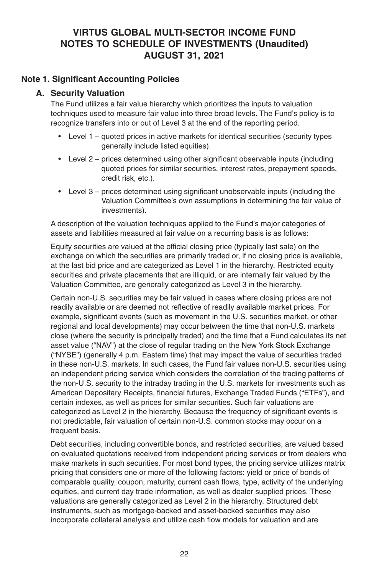#### **VIRTUS GLOBAL MULTI-SECTOR INCOME FUND NOTES TO SCHEDULE OF INVESTMENTS (Unaudited) AUGUST 31, 2021**

#### **Note 1. Significant Accounting Policies**

#### **A. Security Valuation**

The Fund utilizes a fair value hierarchy which prioritizes the inputs to valuation techniques used to measure fair value into three broad levels. The Fund's policy is to recognize transfers into or out of Level 3 at the end of the reporting period.

- Level  $1$  quoted prices in active markets for identical securities (security types generally include listed equities).
- Level 2 prices determined using other significant observable inputs (including quoted prices for similar securities, interest rates, prepayment speeds, credit risk, etc.).
- Level 3 prices determined using significant unobservable inputs (including the Valuation Committee's own assumptions in determining the fair value of investments).

A description of the valuation techniques applied to the Fund's major categories of assets and liabilities measured at fair value on a recurring basis is as follows:

Equity securities are valued at the official closing price (typically last sale) on the exchange on which the securities are primarily traded or, if no closing price is available, at the last bid price and are categorized as Level 1 in the hierarchy. Restricted equity securities and private placements that are illiquid, or are internally fair valued by the Valuation Committee, are generally categorized as Level 3 in the hierarchy.

Certain non-U.S. securities may be fair valued in cases where closing prices are not readily available or are deemed not reflective of readily available market prices. For example, significant events (such as movement in the U.S. securities market, or other regional and local developments) may occur between the time that non-U.S. markets close (where the security is principally traded) and the time that a Fund calculates its net asset value ("NAV") at the close of regular trading on the New York Stock Exchange ("NYSE") (generally 4 p.m. Eastern time) that may impact the value of securities traded in these non-U.S. markets. In such cases, the Fund fair values non-U.S. securities using an independent pricing service which considers the correlation of the trading patterns of the non-U.S. security to the intraday trading in the U.S. markets for investments such as American Depositary Receipts, financial futures, Exchange Traded Funds ("ETFs"), and certain indexes, as well as prices for similar securities. Such fair valuations are categorized as Level 2 in the hierarchy. Because the frequency of significant events is not predictable, fair valuation of certain non-U.S. common stocks may occur on a frequent basis.

Debt securities, including convertible bonds, and restricted securities, are valued based on evaluated quotations received from independent pricing services or from dealers who make markets in such securities. For most bond types, the pricing service utilizes matrix pricing that considers one or more of the following factors: yield or price of bonds of comparable quality, coupon, maturity, current cash flows, type, activity of the underlying equities, and current day trade information, as well as dealer supplied prices. These valuations are generally categorized as Level 2 in the hierarchy. Structured debt instruments, such as mortgage-backed and asset-backed securities may also incorporate collateral analysis and utilize cash flow models for valuation and are